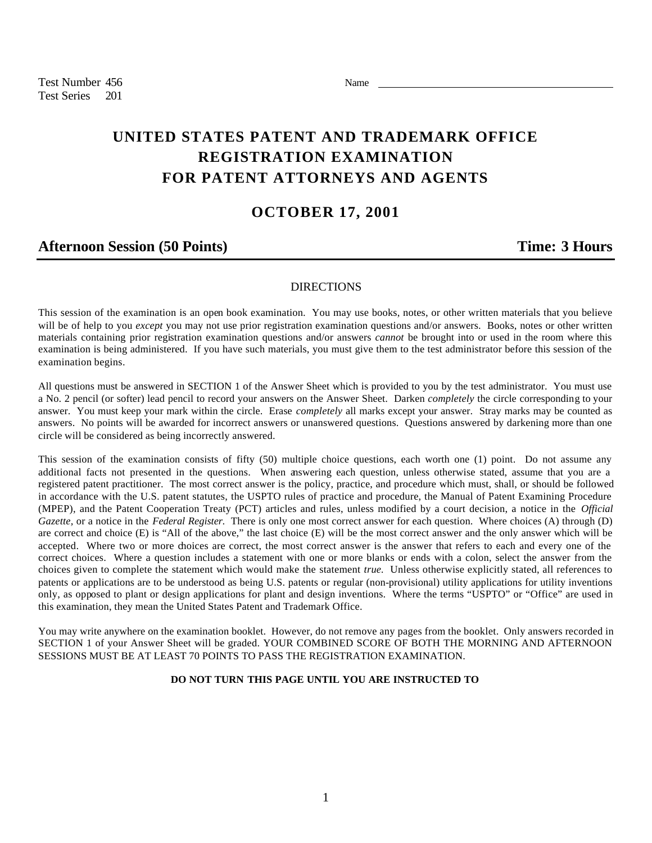Test Number 456 Name Test Series 201

# **UNITED STATES PATENT AND TRADEMARK OFFICE REGISTRATION EXAMINATION FOR PATENT ATTORNEYS AND AGENTS**

## **OCTOBER 17, 2001**

## **Afternoon Session (50 Points) Time: 3 Hours**

### DIRECTIONS

This session of the examination is an open book examination. You may use books, notes, or other written materials that you believe will be of help to you *except* you may not use prior registration examination questions and/or answers. Books, notes or other written materials containing prior registration examination questions and/or answers *cannot* be brought into or used in the room where this examination is being administered. If you have such materials, you must give them to the test administrator before this session of the examination begins.

All questions must be answered in SECTION 1 of the Answer Sheet which is provided to you by the test administrator. You must use a No. 2 pencil (or softer) lead pencil to record your answers on the Answer Sheet. Darken *completely* the circle corresponding to your answer. You must keep your mark within the circle. Erase *completely* all marks except your answer. Stray marks may be counted as answers. No points will be awarded for incorrect answers or unanswered questions. Questions answered by darkening more than one circle will be considered as being incorrectly answered.

This session of the examination consists of fifty (50) multiple choice questions, each worth one (1) point. Do not assume any additional facts not presented in the questions. When answering each question, unless otherwise stated, assume that you are a registered patent practitioner. The most correct answer is the policy, practice, and procedure which must, shall, or should be followed in accordance with the U.S. patent statutes, the USPTO rules of practice and procedure, the Manual of Patent Examining Procedure (MPEP), and the Patent Cooperation Treaty (PCT) articles and rules, unless modified by a court decision, a notice in the *Official Gazette,* or a notice in the *Federal Register.* There is only one most correct answer for each question. Where choices (A) through (D) are correct and choice (E) is "All of the above," the last choice (E) will be the most correct answer and the only answer which will be accepted. Where two or more choices are correct, the most correct answer is the answer that refers to each and every one of the correct choices. Where a question includes a statement with one or more blanks or ends with a colon, select the answer from the choices given to complete the statement which would make the statement *true.* Unless otherwise explicitly stated, all references to patents or applications are to be understood as being U.S. patents or regular (non-provisional) utility applications for utility inventions only, as opposed to plant or design applications for plant and design inventions. Where the terms "USPTO" or "Office" are used in this examination, they mean the United States Patent and Trademark Office.

You may write anywhere on the examination booklet. However, do not remove any pages from the booklet. Only answers recorded in SECTION 1 of your Answer Sheet will be graded. YOUR COMBINED SCORE OF BOTH THE MORNING AND AFTERNOON SESSIONS MUST BE AT LEAST 70 POINTS TO PASS THE REGISTRATION EXAMINATION.

#### **DO NOT TURN THIS PAGE UNTIL YOU ARE INSTRUCTED TO**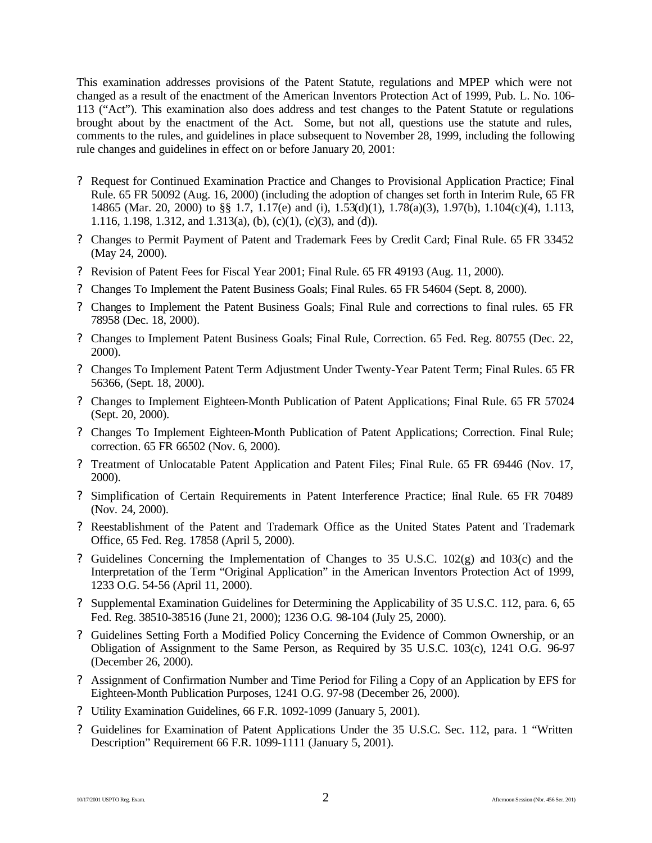This examination addresses provisions of the Patent Statute, regulations and MPEP which were not changed as a result of the enactment of the American Inventors Protection Act of 1999, Pub. L. No. 106- 113 ("Act"). This examination also does address and test changes to the Patent Statute or regulations brought about by the enactment of the Act. Some, but not all, questions use the statute and rules, comments to the rules, and guidelines in place subsequent to November 28, 1999, including the following rule changes and guidelines in effect on or before January 20, 2001:

- ? Request for Continued Examination Practice and Changes to Provisional Application Practice; Final Rule. 65 FR 50092 (Aug. 16, 2000) (including the adoption of changes set forth in Interim Rule, 65 FR 14865 (Mar. 20, 2000) to §§ 1.7, 1.17(e) and (i), 1.53(d)(1), 1.78(a)(3), 1.97(b), 1.104(c)(4), 1.113, 1.116, 1.198, 1.312, and 1.313(a), (b), (c)(1), (c)(3), and (d)).
- ? Changes to Permit Payment of Patent and Trademark Fees by Credit Card; Final Rule. 65 FR 33452 (May 24, 2000).
- ? Revision of Patent Fees for Fiscal Year 2001; Final Rule. 65 FR 49193 (Aug. 11, 2000).
- ? Changes To Implement the Patent Business Goals; Final Rules. 65 FR 54604 (Sept. 8, 2000).
- ? Changes to Implement the Patent Business Goals; Final Rule and corrections to final rules. 65 FR 78958 (Dec. 18, 2000).
- ? Changes to Implement Patent Business Goals; Final Rule, Correction. 65 Fed. Reg. 80755 (Dec. 22, 2000).
- ? Changes To Implement Patent Term Adjustment Under Twenty-Year Patent Term; Final Rules. 65 FR 56366, (Sept. 18, 2000).
- ? Changes to Implement Eighteen-Month Publication of Patent Applications; Final Rule. 65 FR 57024 (Sept. 20, 2000).
- ? Changes To Implement Eighteen-Month Publication of Patent Applications; Correction. Final Rule; correction. 65 FR 66502 (Nov. 6, 2000).
- ? Treatment of Unlocatable Patent Application and Patent Files; Final Rule. 65 FR 69446 (Nov. 17, 2000).
- ? Simplification of Certain Requirements in Patent Interference Practice; Final Rule. 65 FR 70489 (Nov. 24, 2000).
- ? Reestablishment of the Patent and Trademark Office as the United States Patent and Trademark Office, 65 Fed. Reg. 17858 (April 5, 2000).
- ? Guidelines Concerning the Implementation of Changes to 35 U.S.C. 102(g) and 103(c) and the Interpretation of the Term "Original Application" in the American Inventors Protection Act of 1999, 1233 O.G. 54-56 (April 11, 2000).
- ? Supplemental Examination Guidelines for Determining the Applicability of 35 U.S.C. 112, para. 6, 65 Fed. Reg. 38510-38516 (June 21, 2000); 1236 O.G. 98-104 (July 25, 2000).
- ? Guidelines Setting Forth a Modified Policy Concerning the Evidence of Common Ownership, or an Obligation of Assignment to the Same Person, as Required by 35 U.S.C. 103(c), 1241 O.G. 96-97 (December 26, 2000).
- ? Assignment of Confirmation Number and Time Period for Filing a Copy of an Application by EFS for Eighteen-Month Publication Purposes, 1241 O.G. 97-98 (December 26, 2000).
- ? Utility Examination Guidelines, 66 F.R. 1092-1099 (January 5, 2001).
- ? Guidelines for Examination of Patent Applications Under the 35 U.S.C. Sec. 112, para. 1 "Written Description" Requirement 66 F.R. 1099-1111 (January 5, 2001).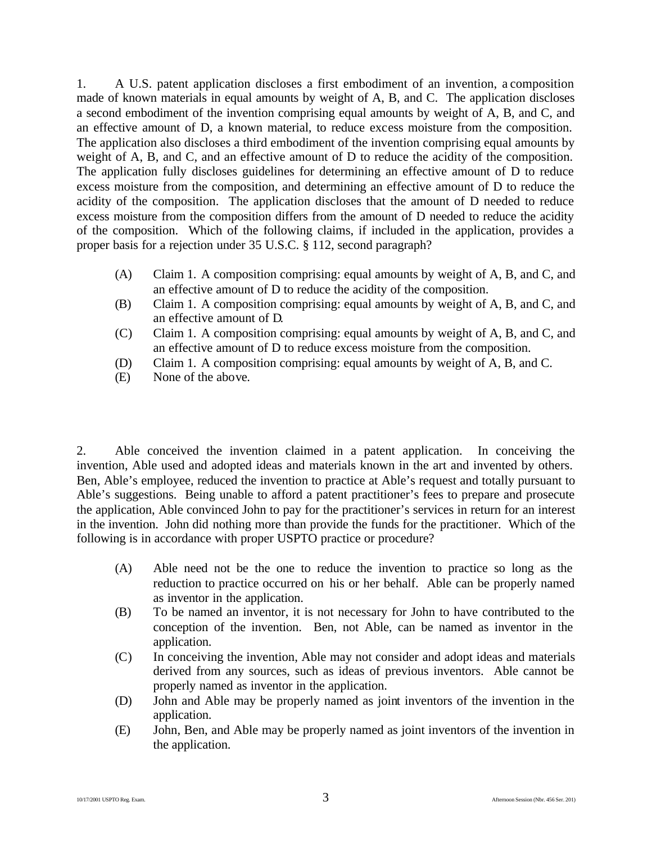1. A U.S. patent application discloses a first embodiment of an invention, a composition made of known materials in equal amounts by weight of A, B, and C. The application discloses a second embodiment of the invention comprising equal amounts by weight of A, B, and C, and an effective amount of D, a known material, to reduce excess moisture from the composition. The application also discloses a third embodiment of the invention comprising equal amounts by weight of A, B, and C, and an effective amount of D to reduce the acidity of the composition. The application fully discloses guidelines for determining an effective amount of D to reduce excess moisture from the composition, and determining an effective amount of D to reduce the acidity of the composition. The application discloses that the amount of D needed to reduce excess moisture from the composition differs from the amount of D needed to reduce the acidity of the composition. Which of the following claims, if included in the application, provides a proper basis for a rejection under 35 U.S.C. § 112, second paragraph?

- (A) Claim 1. A composition comprising: equal amounts by weight of A, B, and C, and an effective amount of D to reduce the acidity of the composition.
- (B) Claim 1. A composition comprising: equal amounts by weight of A, B, and C, and an effective amount of D.
- (C) Claim 1. A composition comprising: equal amounts by weight of A, B, and C, and an effective amount of D to reduce excess moisture from the composition.
- (D) Claim 1. A composition comprising: equal amounts by weight of A, B, and C.
- (E) None of the above.

2. Able conceived the invention claimed in a patent application. In conceiving the invention, Able used and adopted ideas and materials known in the art and invented by others. Ben, Able's employee, reduced the invention to practice at Able's request and totally pursuant to Able's suggestions. Being unable to afford a patent practitioner's fees to prepare and prosecute the application, Able convinced John to pay for the practitioner's services in return for an interest in the invention. John did nothing more than provide the funds for the practitioner. Which of the following is in accordance with proper USPTO practice or procedure?

- (A) Able need not be the one to reduce the invention to practice so long as the reduction to practice occurred on his or her behalf. Able can be properly named as inventor in the application.
- (B) To be named an inventor, it is not necessary for John to have contributed to the conception of the invention. Ben, not Able, can be named as inventor in the application.
- (C) In conceiving the invention, Able may not consider and adopt ideas and materials derived from any sources, such as ideas of previous inventors. Able cannot be properly named as inventor in the application.
- (D) John and Able may be properly named as joint inventors of the invention in the application.
- (E) John, Ben, and Able may be properly named as joint inventors of the invention in the application.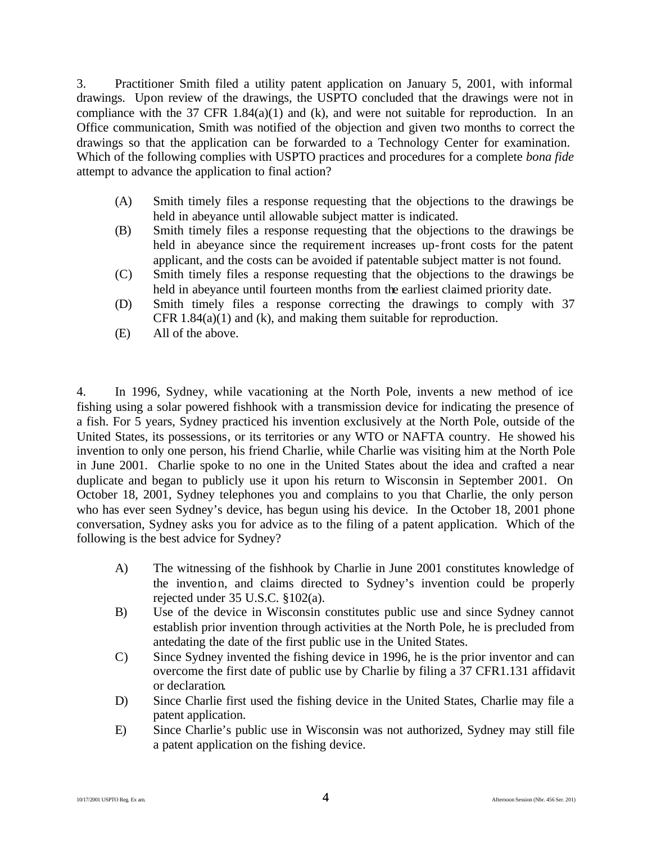3. Practitioner Smith filed a utility patent application on January 5, 2001, with informal drawings. Upon review of the drawings, the USPTO concluded that the drawings were not in compliance with the 37 CFR 1.84(a)(1) and (k), and were not suitable for reproduction. In an Office communication, Smith was notified of the objection and given two months to correct the drawings so that the application can be forwarded to a Technology Center for examination. Which of the following complies with USPTO practices and procedures for a complete *bona fide* attempt to advance the application to final action?

- (A) Smith timely files a response requesting that the objections to the drawings be held in abeyance until allowable subject matter is indicated.
- (B) Smith timely files a response requesting that the objections to the drawings be held in abeyance since the requirement increases up-front costs for the patent applicant, and the costs can be avoided if patentable subject matter is not found.
- (C) Smith timely files a response requesting that the objections to the drawings be held in abeyance until fourteen months from the earliest claimed priority date.
- (D) Smith timely files a response correcting the drawings to comply with 37 CFR 1.84(a)(1) and (k), and making them suitable for reproduction.
- (E) All of the above.

4. In 1996, Sydney, while vacationing at the North Pole, invents a new method of ice fishing using a solar powered fishhook with a transmission device for indicating the presence of a fish. For 5 years, Sydney practiced his invention exclusively at the North Pole, outside of the United States, its possessions, or its territories or any WTO or NAFTA country. He showed his invention to only one person, his friend Charlie, while Charlie was visiting him at the North Pole in June 2001. Charlie spoke to no one in the United States about the idea and crafted a near duplicate and began to publicly use it upon his return to Wisconsin in September 2001. On October 18, 2001, Sydney telephones you and complains to you that Charlie, the only person who has ever seen Sydney's device, has begun using his device. In the October 18, 2001 phone conversation, Sydney asks you for advice as to the filing of a patent application. Which of the following is the best advice for Sydney?

- A) The witnessing of the fishhook by Charlie in June 2001 constitutes knowledge of the invention, and claims directed to Sydney's invention could be properly rejected under 35 U.S.C. §102(a).
- B) Use of the device in Wisconsin constitutes public use and since Sydney cannot establish prior invention through activities at the North Pole, he is precluded from antedating the date of the first public use in the United States.
- C) Since Sydney invented the fishing device in 1996, he is the prior inventor and can overcome the first date of public use by Charlie by filing a 37 CFR1.131 affidavit or declaration.
- D) Since Charlie first used the fishing device in the United States, Charlie may file a patent application.
- E) Since Charlie's public use in Wisconsin was not authorized, Sydney may still file a patent application on the fishing device.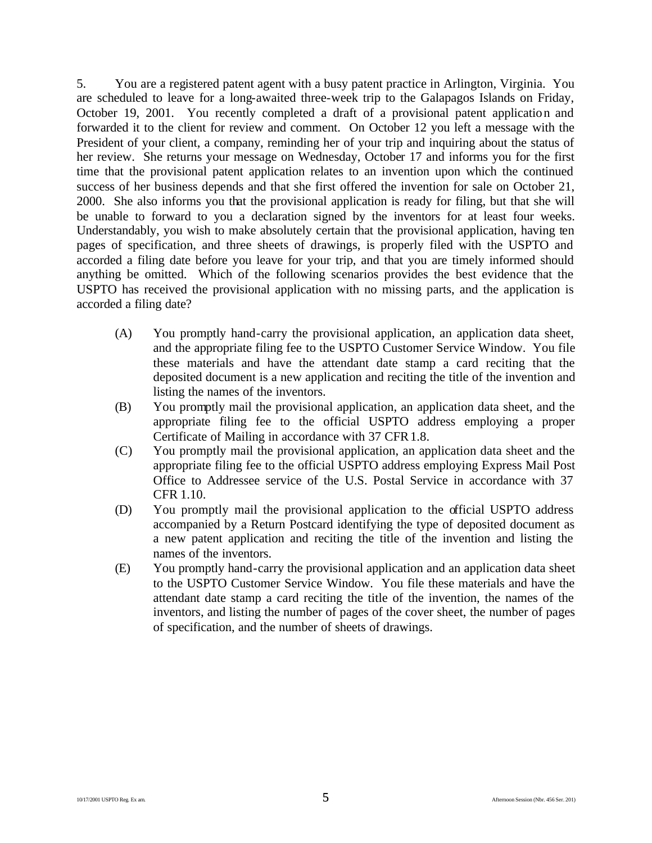5. You are a registered patent agent with a busy patent practice in Arlington, Virginia. You are scheduled to leave for a long-awaited three-week trip to the Galapagos Islands on Friday, October 19, 2001. You recently completed a draft of a provisional patent application and forwarded it to the client for review and comment. On October 12 you left a message with the President of your client, a company, reminding her of your trip and inquiring about the status of her review. She returns your message on Wednesday, October 17 and informs you for the first time that the provisional patent application relates to an invention upon which the continued success of her business depends and that she first offered the invention for sale on October 21, 2000. She also informs you that the provisional application is ready for filing, but that she will be unable to forward to you a declaration signed by the inventors for at least four weeks. Understandably, you wish to make absolutely certain that the provisional application, having ten pages of specification, and three sheets of drawings, is properly filed with the USPTO and accorded a filing date before you leave for your trip, and that you are timely informed should anything be omitted. Which of the following scenarios provides the best evidence that the USPTO has received the provisional application with no missing parts, and the application is accorded a filing date?

- (A) You promptly hand-carry the provisional application, an application data sheet, and the appropriate filing fee to the USPTO Customer Service Window. You file these materials and have the attendant date stamp a card reciting that the deposited document is a new application and reciting the title of the invention and listing the names of the inventors.
- (B) You promptly mail the provisional application, an application data sheet, and the appropriate filing fee to the official USPTO address employing a proper Certificate of Mailing in accordance with 37 CFR 1.8.
- (C) You promptly mail the provisional application, an application data sheet and the appropriate filing fee to the official USPTO address employing Express Mail Post Office to Addressee service of the U.S. Postal Service in accordance with 37 CFR 1.10.
- (D) You promptly mail the provisional application to the official USPTO address accompanied by a Return Postcard identifying the type of deposited document as a new patent application and reciting the title of the invention and listing the names of the inventors.
- (E) You promptly hand-carry the provisional application and an application data sheet to the USPTO Customer Service Window. You file these materials and have the attendant date stamp a card reciting the title of the invention, the names of the inventors, and listing the number of pages of the cover sheet, the number of pages of specification, and the number of sheets of drawings.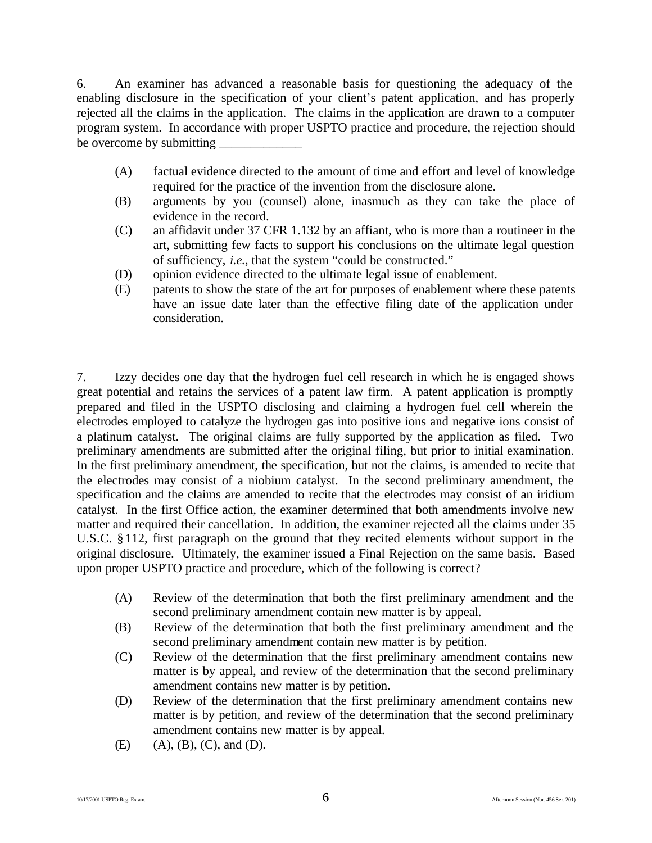6. An examiner has advanced a reasonable basis for questioning the adequacy of the enabling disclosure in the specification of your client's patent application, and has properly rejected all the claims in the application. The claims in the application are drawn to a computer program system. In accordance with proper USPTO practice and procedure, the rejection should be overcome by submitting

- (A) factual evidence directed to the amount of time and effort and level of knowledge required for the practice of the invention from the disclosure alone.
- (B) arguments by you (counsel) alone, inasmuch as they can take the place of evidence in the record.
- (C) an affidavit under 37 CFR 1.132 by an affiant, who is more than a routineer in the art, submitting few facts to support his conclusions on the ultimate legal question of sufficiency, *i.e.*, that the system "could be constructed."
- (D) opinion evidence directed to the ultimate legal issue of enablement.
- (E) patents to show the state of the art for purposes of enablement where these patents have an issue date later than the effective filing date of the application under consideration.

7. Izzy decides one day that the hydrogen fuel cell research in which he is engaged shows great potential and retains the services of a patent law firm. A patent application is promptly prepared and filed in the USPTO disclosing and claiming a hydrogen fuel cell wherein the electrodes employed to catalyze the hydrogen gas into positive ions and negative ions consist of a platinum catalyst. The original claims are fully supported by the application as filed. Two preliminary amendments are submitted after the original filing, but prior to initial examination. In the first preliminary amendment, the specification, but not the claims, is amended to recite that the electrodes may consist of a niobium catalyst. In the second preliminary amendment, the specification and the claims are amended to recite that the electrodes may consist of an iridium catalyst. In the first Office action, the examiner determined that both amendments involve new matter and required their cancellation. In addition, the examiner rejected all the claims under 35 U.S.C. § 112, first paragraph on the ground that they recited elements without support in the original disclosure. Ultimately, the examiner issued a Final Rejection on the same basis. Based upon proper USPTO practice and procedure, which of the following is correct?

- (A) Review of the determination that both the first preliminary amendment and the second preliminary amendment contain new matter is by appeal.
- (B) Review of the determination that both the first preliminary amendment and the second preliminary amendment contain new matter is by petition.
- (C) Review of the determination that the first preliminary amendment contains new matter is by appeal, and review of the determination that the second preliminary amendment contains new matter is by petition.
- (D) Review of the determination that the first preliminary amendment contains new matter is by petition, and review of the determination that the second preliminary amendment contains new matter is by appeal.
- $(E)$  (A),  $(B)$ ,  $(C)$ , and  $(D)$ .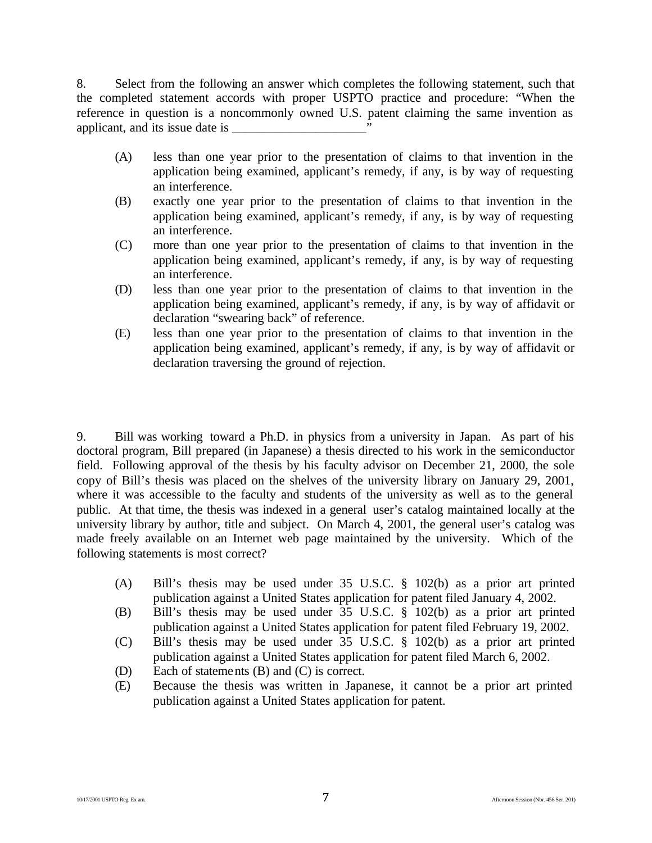8. Select from the following an answer which completes the following statement, such that the completed statement accords with proper USPTO practice and procedure: "When the reference in question is a noncommonly owned U.S. patent claiming the same invention as applicant, and its issue date is \_\_\_\_\_\_\_\_\_\_\_\_\_\_\_\_\_\_\_\_\_"

- (A) less than one year prior to the presentation of claims to that invention in the application being examined, applicant's remedy, if any, is by way of requesting an interference.
- (B) exactly one year prior to the presentation of claims to that invention in the application being examined, applicant's remedy, if any, is by way of requesting an interference.
- (C) more than one year prior to the presentation of claims to that invention in the application being examined, applicant's remedy, if any, is by way of requesting an interference.
- (D) less than one year prior to the presentation of claims to that invention in the application being examined, applicant's remedy, if any, is by way of affidavit or declaration "swearing back" of reference.
- (E) less than one year prior to the presentation of claims to that invention in the application being examined, applicant's remedy, if any, is by way of affidavit or declaration traversing the ground of rejection.

9. Bill was working toward a Ph.D. in physics from a university in Japan. As part of his doctoral program, Bill prepared (in Japanese) a thesis directed to his work in the semiconductor field. Following approval of the thesis by his faculty advisor on December 21, 2000, the sole copy of Bill's thesis was placed on the shelves of the university library on January 29, 2001, where it was accessible to the faculty and students of the university as well as to the general public. At that time, the thesis was indexed in a general user's catalog maintained locally at the university library by author, title and subject. On March 4, 2001, the general user's catalog was made freely available on an Internet web page maintained by the university. Which of the following statements is most correct?

- (A) Bill's thesis may be used under 35 U.S.C. § 102(b) as a prior art printed publication against a United States application for patent filed January 4, 2002.
- (B) Bill's thesis may be used under 35 U.S.C. § 102(b) as a prior art printed publication against a United States application for patent filed February 19, 2002.
- (C) Bill's thesis may be used under 35 U.S.C. § 102(b) as a prior art printed publication against a United States application for patent filed March 6, 2002.
- (D) Each of statements (B) and (C) is correct.
- (E) Because the thesis was written in Japanese, it cannot be a prior art printed publication against a United States application for patent.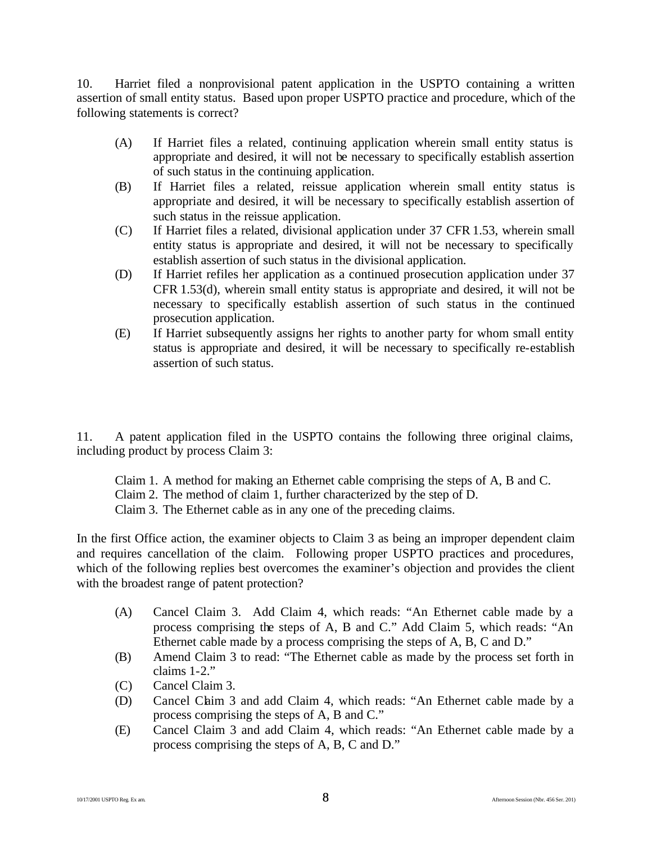10. Harriet filed a nonprovisional patent application in the USPTO containing a written assertion of small entity status. Based upon proper USPTO practice and procedure, which of the following statements is correct?

- (A) If Harriet files a related, continuing application wherein small entity status is appropriate and desired, it will not be necessary to specifically establish assertion of such status in the continuing application.
- (B) If Harriet files a related, reissue application wherein small entity status is appropriate and desired, it will be necessary to specifically establish assertion of such status in the reissue application.
- (C) If Harriet files a related, divisional application under 37 CFR 1.53, wherein small entity status is appropriate and desired, it will not be necessary to specifically establish assertion of such status in the divisional application.
- (D) If Harriet refiles her application as a continued prosecution application under 37 CFR 1.53(d), wherein small entity status is appropriate and desired, it will not be necessary to specifically establish assertion of such status in the continued prosecution application.
- (E) If Harriet subsequently assigns her rights to another party for whom small entity status is appropriate and desired, it will be necessary to specifically re-establish assertion of such status.

11. A patent application filed in the USPTO contains the following three original claims, including product by process Claim 3:

Claim 1. A method for making an Ethernet cable comprising the steps of A, B and C. Claim 2. The method of claim 1, further characterized by the step of D. Claim 3. The Ethernet cable as in any one of the preceding claims.

In the first Office action, the examiner objects to Claim 3 as being an improper dependent claim and requires cancellation of the claim. Following proper USPTO practices and procedures, which of the following replies best overcomes the examiner's objection and provides the client with the broadest range of patent protection?

- (A) Cancel Claim 3. Add Claim 4, which reads: "An Ethernet cable made by a process comprising the steps of A, B and C." Add Claim 5, which reads: "An Ethernet cable made by a process comprising the steps of A, B, C and D."
- (B) Amend Claim 3 to read: "The Ethernet cable as made by the process set forth in claims 1-2."
- (C) Cancel Claim 3.
- (D) Cancel Chaim 3 and add Claim 4, which reads: "An Ethernet cable made by a process comprising the steps of A, B and C."
- (E) Cancel Claim 3 and add Claim 4, which reads: "An Ethernet cable made by a process comprising the steps of A, B, C and D."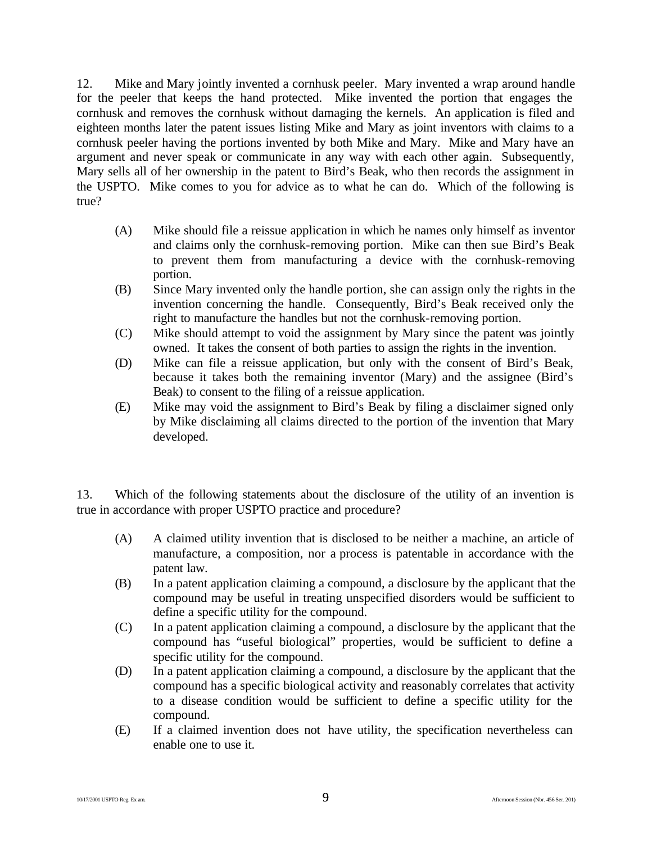12. Mike and Mary jointly invented a cornhusk peeler. Mary invented a wrap around handle for the peeler that keeps the hand protected. Mike invented the portion that engages the cornhusk and removes the cornhusk without damaging the kernels. An application is filed and eighteen months later the patent issues listing Mike and Mary as joint inventors with claims to a cornhusk peeler having the portions invented by both Mike and Mary. Mike and Mary have an argument and never speak or communicate in any way with each other again. Subsequently, Mary sells all of her ownership in the patent to Bird's Beak, who then records the assignment in the USPTO. Mike comes to you for advice as to what he can do. Which of the following is true?

- (A) Mike should file a reissue application in which he names only himself as inventor and claims only the cornhusk-removing portion. Mike can then sue Bird's Beak to prevent them from manufacturing a device with the cornhusk-removing portion.
- (B) Since Mary invented only the handle portion, she can assign only the rights in the invention concerning the handle. Consequently, Bird's Beak received only the right to manufacture the handles but not the cornhusk-removing portion.
- (C) Mike should attempt to void the assignment by Mary since the patent was jointly owned. It takes the consent of both parties to assign the rights in the invention.
- (D) Mike can file a reissue application, but only with the consent of Bird's Beak, because it takes both the remaining inventor (Mary) and the assignee (Bird's Beak) to consent to the filing of a reissue application.
- (E) Mike may void the assignment to Bird's Beak by filing a disclaimer signed only by Mike disclaiming all claims directed to the portion of the invention that Mary developed.

13. Which of the following statements about the disclosure of the utility of an invention is true in accordance with proper USPTO practice and procedure?

- (A) A claimed utility invention that is disclosed to be neither a machine, an article of manufacture, a composition, nor a process is patentable in accordance with the patent law.
- (B) In a patent application claiming a compound, a disclosure by the applicant that the compound may be useful in treating unspecified disorders would be sufficient to define a specific utility for the compound.
- (C) In a patent application claiming a compound, a disclosure by the applicant that the compound has "useful biological" properties, would be sufficient to define a specific utility for the compound.
- (D) In a patent application claiming a compound, a disclosure by the applicant that the compound has a specific biological activity and reasonably correlates that activity to a disease condition would be sufficient to define a specific utility for the compound.
- (E) If a claimed invention does not have utility, the specification nevertheless can enable one to use it.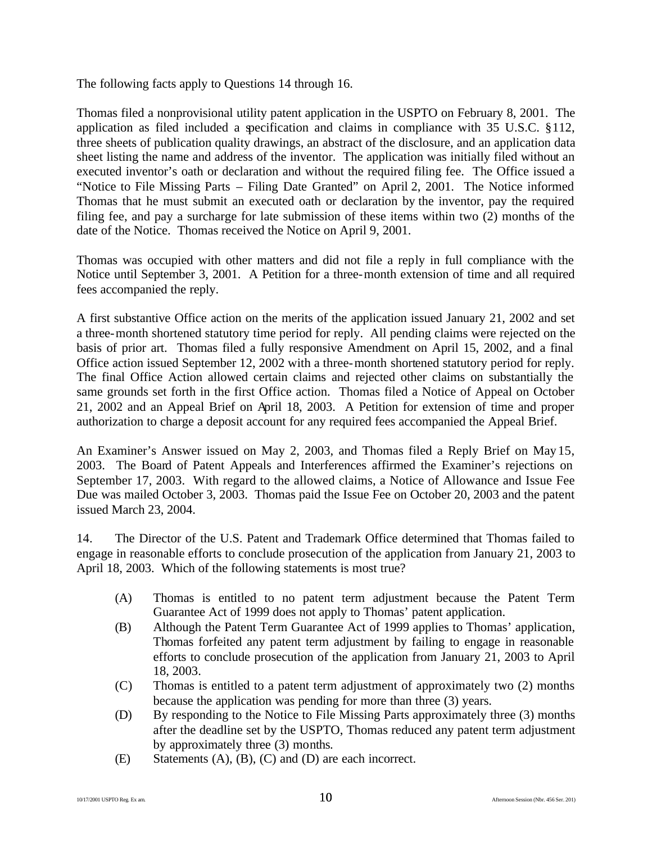The following facts apply to Questions 14 through 16.

Thomas filed a nonprovisional utility patent application in the USPTO on February 8, 2001. The application as filed included a specification and claims in compliance with 35 U.S.C. §112, three sheets of publication quality drawings, an abstract of the disclosure, and an application data sheet listing the name and address of the inventor. The application was initially filed without an executed inventor's oath or declaration and without the required filing fee. The Office issued a "Notice to File Missing Parts – Filing Date Granted" on April 2, 2001. The Notice informed Thomas that he must submit an executed oath or declaration by the inventor, pay the required filing fee, and pay a surcharge for late submission of these items within two (2) months of the date of the Notice. Thomas received the Notice on April 9, 2001.

Thomas was occupied with other matters and did not file a reply in full compliance with the Notice until September 3, 2001. A Petition for a three-month extension of time and all required fees accompanied the reply.

A first substantive Office action on the merits of the application issued January 21, 2002 and set a three-month shortened statutory time period for reply. All pending claims were rejected on the basis of prior art. Thomas filed a fully responsive Amendment on April 15, 2002, and a final Office action issued September 12, 2002 with a three-month shortened statutory period for reply. The final Office Action allowed certain claims and rejected other claims on substantially the same grounds set forth in the first Office action. Thomas filed a Notice of Appeal on October 21, 2002 and an Appeal Brief on April 18, 2003. A Petition for extension of time and proper authorization to charge a deposit account for any required fees accompanied the Appeal Brief.

An Examiner's Answer issued on May 2, 2003, and Thomas filed a Reply Brief on May 15, 2003. The Board of Patent Appeals and Interferences affirmed the Examiner's rejections on September 17, 2003. With regard to the allowed claims, a Notice of Allowance and Issue Fee Due was mailed October 3, 2003. Thomas paid the Issue Fee on October 20, 2003 and the patent issued March 23, 2004.

14. The Director of the U.S. Patent and Trademark Office determined that Thomas failed to engage in reasonable efforts to conclude prosecution of the application from January 21, 2003 to April 18, 2003. Which of the following statements is most true?

- (A) Thomas is entitled to no patent term adjustment because the Patent Term Guarantee Act of 1999 does not apply to Thomas' patent application.
- (B) Although the Patent Term Guarantee Act of 1999 applies to Thomas' application, Thomas forfeited any patent term adjustment by failing to engage in reasonable efforts to conclude prosecution of the application from January 21, 2003 to April 18, 2003.
- (C) Thomas is entitled to a patent term adjustment of approximately two (2) months because the application was pending for more than three (3) years.
- (D) By responding to the Notice to File Missing Parts approximately three (3) months after the deadline set by the USPTO, Thomas reduced any patent term adjustment by approximately three (3) months.
- (E) Statements (A), (B), (C) and (D) are each incorrect.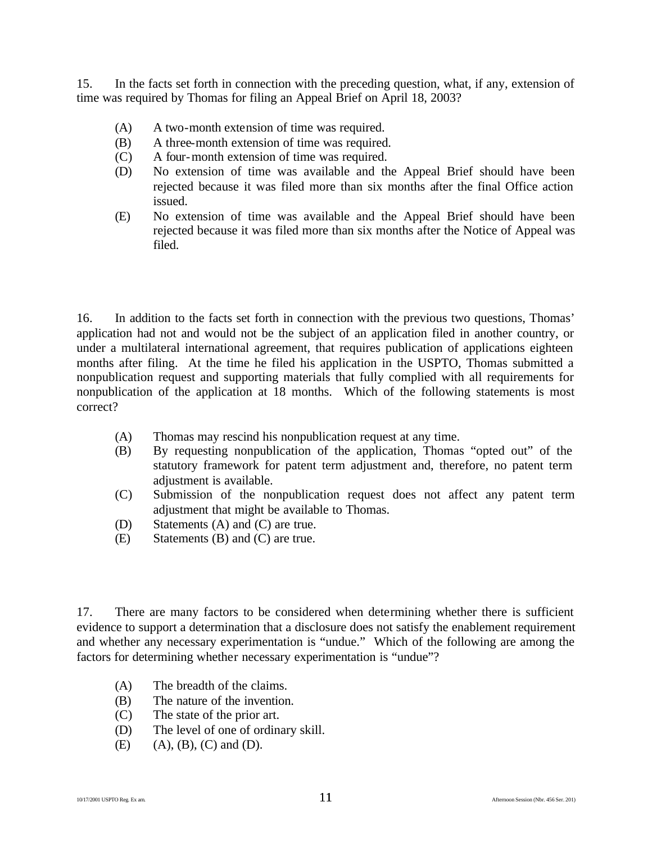15. In the facts set forth in connection with the preceding question, what, if any, extension of time was required by Thomas for filing an Appeal Brief on April 18, 2003?

- (A) A two-month extension of time was required.
- (B) A three-month extension of time was required.
- (C) A four-month extension of time was required.
- (D) No extension of time was available and the Appeal Brief should have been rejected because it was filed more than six months after the final Office action issued.
- (E) No extension of time was available and the Appeal Brief should have been rejected because it was filed more than six months after the Notice of Appeal was filed.

16. In addition to the facts set forth in connection with the previous two questions, Thomas' application had not and would not be the subject of an application filed in another country, or under a multilateral international agreement, that requires publication of applications eighteen months after filing. At the time he filed his application in the USPTO, Thomas submitted a nonpublication request and supporting materials that fully complied with all requirements for nonpublication of the application at 18 months. Which of the following statements is most correct?

- (A) Thomas may rescind his nonpublication request at any time.
- (B) By requesting nonpublication of the application, Thomas "opted out" of the statutory framework for patent term adjustment and, therefore, no patent term adjustment is available.
- (C) Submission of the nonpublication request does not affect any patent term adjustment that might be available to Thomas.
- (D) Statements (A) and (C) are true.
- (E) Statements (B) and (C) are true.

17. There are many factors to be considered when determining whether there is sufficient evidence to support a determination that a disclosure does not satisfy the enablement requirement and whether any necessary experimentation is "undue." Which of the following are among the factors for determining whether necessary experimentation is "undue"?

- (A) The breadth of the claims.
- (B) The nature of the invention.
- (C) The state of the prior art.
- (D) The level of one of ordinary skill.
- $(E)$  (A),  $(B)$ ,  $(C)$  and  $(D)$ .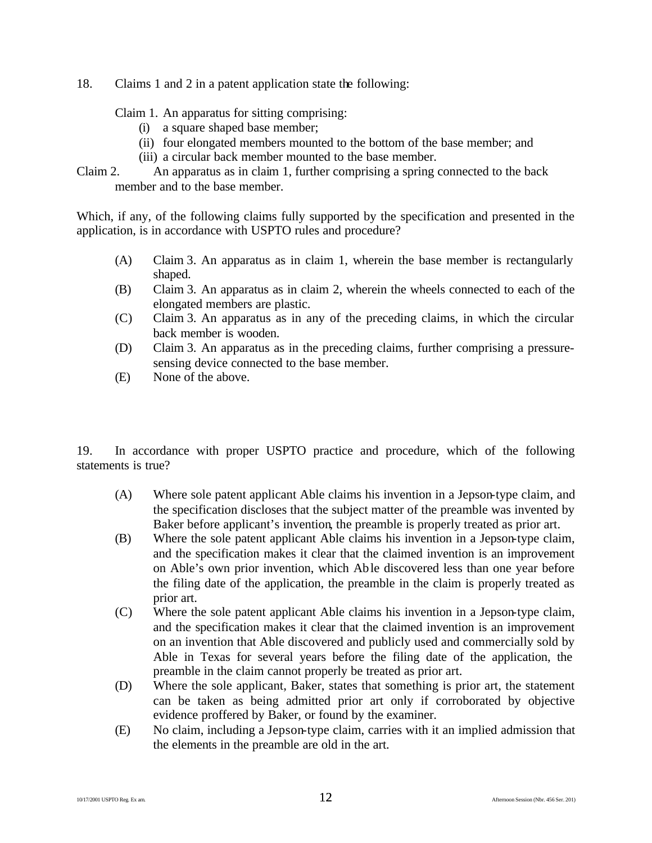18. Claims 1 and 2 in a patent application state the following:

Claim 1. An apparatus for sitting comprising:

- (i) a square shaped base member;
- (ii) four elongated members mounted to the bottom of the base member; and
- (iii) a circular back member mounted to the base member.
- Claim 2. An apparatus as in claim 1, further comprising a spring connected to the back member and to the base member.

Which, if any, of the following claims fully supported by the specification and presented in the application, is in accordance with USPTO rules and procedure?

- (A) Claim 3. An apparatus as in claim 1, wherein the base member is rectangularly shaped.
- (B) Claim 3. An apparatus as in claim 2, wherein the wheels connected to each of the elongated members are plastic.
- (C) Claim 3. An apparatus as in any of the preceding claims, in which the circular back member is wooden.
- (D) Claim 3. An apparatus as in the preceding claims, further comprising a pressuresensing device connected to the base member.
- (E) None of the above.

19. In accordance with proper USPTO practice and procedure, which of the following statements is true?

- (A) Where sole patent applicant Able claims his invention in a Jepson-type claim, and the specification discloses that the subject matter of the preamble was invented by Baker before applicant's invention, the preamble is properly treated as prior art.
- (B) Where the sole patent applicant Able claims his invention in a Jepson-type claim, and the specification makes it clear that the claimed invention is an improvement on Able's own prior invention, which Able discovered less than one year before the filing date of the application, the preamble in the claim is properly treated as prior art.
- (C) Where the sole patent applicant Able claims his invention in a Jepson-type claim, and the specification makes it clear that the claimed invention is an improvement on an invention that Able discovered and publicly used and commercially sold by Able in Texas for several years before the filing date of the application, the preamble in the claim cannot properly be treated as prior art.
- (D) Where the sole applicant, Baker, states that something is prior art, the statement can be taken as being admitted prior art only if corroborated by objective evidence proffered by Baker, or found by the examiner.
- (E) No claim, including a Jepson-type claim, carries with it an implied admission that the elements in the preamble are old in the art.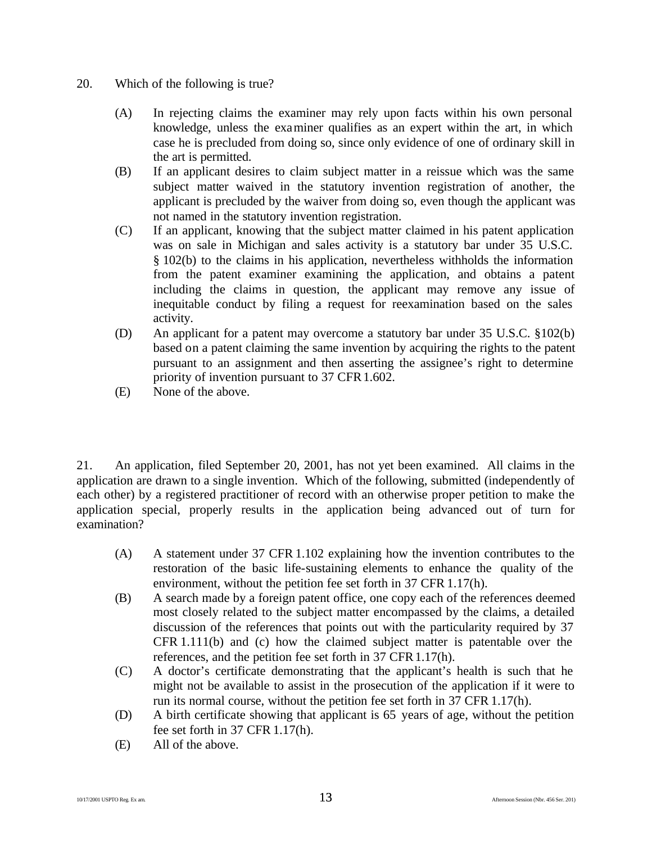- 20. Which of the following is true?
	- (A) In rejecting claims the examiner may rely upon facts within his own personal knowledge, unless the examiner qualifies as an expert within the art, in which case he is precluded from doing so, since only evidence of one of ordinary skill in the art is permitted.
	- (B) If an applicant desires to claim subject matter in a reissue which was the same subject matter waived in the statutory invention registration of another, the applicant is precluded by the waiver from doing so, even though the applicant was not named in the statutory invention registration.
	- (C) If an applicant, knowing that the subject matter claimed in his patent application was on sale in Michigan and sales activity is a statutory bar under 35 U.S.C. § 102(b) to the claims in his application, nevertheless withholds the information from the patent examiner examining the application, and obtains a patent including the claims in question, the applicant may remove any issue of inequitable conduct by filing a request for reexamination based on the sales activity.
	- (D) An applicant for a patent may overcome a statutory bar under 35 U.S.C. §102(b) based on a patent claiming the same invention by acquiring the rights to the patent pursuant to an assignment and then asserting the assignee's right to determine priority of invention pursuant to 37 CFR 1.602.
	- (E) None of the above.

21. An application, filed September 20, 2001, has not yet been examined. All claims in the application are drawn to a single invention. Which of the following, submitted (independently of each other) by a registered practitioner of record with an otherwise proper petition to make the application special, properly results in the application being advanced out of turn for examination?

- (A) A statement under 37 CFR 1.102 explaining how the invention contributes to the restoration of the basic life-sustaining elements to enhance the quality of the environment, without the petition fee set forth in 37 CFR 1.17(h).
- (B) A search made by a foreign patent office, one copy each of the references deemed most closely related to the subject matter encompassed by the claims, a detailed discussion of the references that points out with the particularity required by 37 CFR 1.111(b) and (c) how the claimed subject matter is patentable over the references, and the petition fee set forth in 37 CFR 1.17(h).
- (C) A doctor's certificate demonstrating that the applicant's health is such that he might not be available to assist in the prosecution of the application if it were to run its normal course, without the petition fee set forth in 37 CFR 1.17(h).
- (D) A birth certificate showing that applicant is 65 years of age, without the petition fee set forth in 37 CFR 1.17(h).
- (E) All of the above.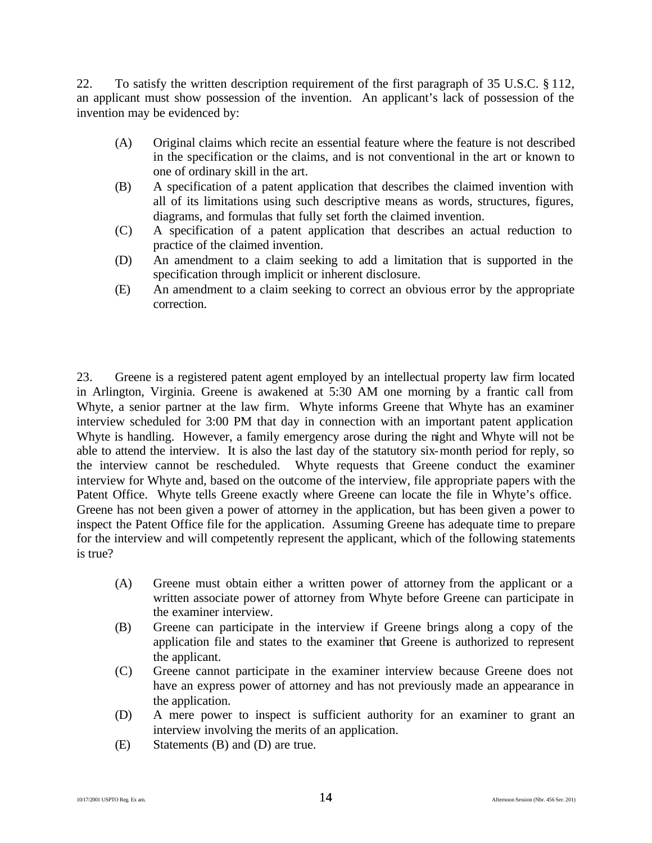22. To satisfy the written description requirement of the first paragraph of 35 U.S.C. § 112, an applicant must show possession of the invention. An applicant's lack of possession of the invention may be evidenced by:

- (A) Original claims which recite an essential feature where the feature is not described in the specification or the claims, and is not conventional in the art or known to one of ordinary skill in the art.
- (B) A specification of a patent application that describes the claimed invention with all of its limitations using such descriptive means as words, structures, figures, diagrams, and formulas that fully set forth the claimed invention.
- (C) A specification of a patent application that describes an actual reduction to practice of the claimed invention.
- (D) An amendment to a claim seeking to add a limitation that is supported in the specification through implicit or inherent disclosure.
- (E) An amendment to a claim seeking to correct an obvious error by the appropriate correction.

23. Greene is a registered patent agent employed by an intellectual property law firm located in Arlington, Virginia. Greene is awakened at 5:30 AM one morning by a frantic call from Whyte, a senior partner at the law firm. Whyte informs Greene that Whyte has an examiner interview scheduled for 3:00 PM that day in connection with an important patent application Whyte is handling. However, a family emergency arose during the night and Whyte will not be able to attend the interview. It is also the last day of the statutory six-month period for reply, so the interview cannot be rescheduled. Whyte requests that Greene conduct the examiner interview for Whyte and, based on the outcome of the interview, file appropriate papers with the Patent Office. Whyte tells Greene exactly where Greene can locate the file in Whyte's office. Greene has not been given a power of attorney in the application, but has been given a power to inspect the Patent Office file for the application. Assuming Greene has adequate time to prepare for the interview and will competently represent the applicant, which of the following statements is true?

- (A) Greene must obtain either a written power of attorney from the applicant or a written associate power of attorney from Whyte before Greene can participate in the examiner interview.
- (B) Greene can participate in the interview if Greene brings along a copy of the application file and states to the examiner that Greene is authorized to represent the applicant.
- (C) Greene cannot participate in the examiner interview because Greene does not have an express power of attorney and has not previously made an appearance in the application.
- (D) A mere power to inspect is sufficient authority for an examiner to grant an interview involving the merits of an application.
- (E) Statements (B) and (D) are true.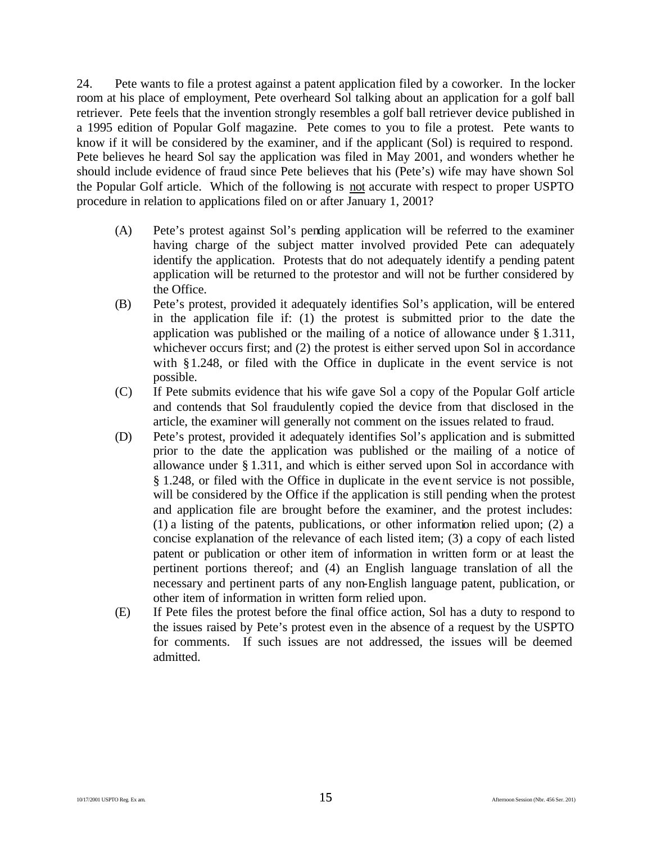24. Pete wants to file a protest against a patent application filed by a coworker. In the locker room at his place of employment, Pete overheard Sol talking about an application for a golf ball retriever. Pete feels that the invention strongly resembles a golf ball retriever device published in a 1995 edition of Popular Golf magazine. Pete comes to you to file a protest. Pete wants to know if it will be considered by the examiner, and if the applicant (Sol) is required to respond. Pete believes he heard Sol say the application was filed in May 2001, and wonders whether he should include evidence of fraud since Pete believes that his (Pete's) wife may have shown Sol the Popular Golf article. Which of the following is not accurate with respect to proper USPTO procedure in relation to applications filed on or after January 1, 2001?

- (A) Pete's protest against Sol's pending application will be referred to the examiner having charge of the subject matter involved provided Pete can adequately identify the application. Protests that do not adequately identify a pending patent application will be returned to the protestor and will not be further considered by the Office.
- (B) Pete's protest, provided it adequately identifies Sol's application, will be entered in the application file if: (1) the protest is submitted prior to the date the application was published or the mailing of a notice of allowance under § 1.311, whichever occurs first; and (2) the protest is either served upon Sol in accordance with §1.248, or filed with the Office in duplicate in the event service is not possible.
- (C) If Pete submits evidence that his wife gave Sol a copy of the Popular Golf article and contends that Sol fraudulently copied the device from that disclosed in the article, the examiner will generally not comment on the issues related to fraud.
- (D) Pete's protest, provided it adequately identifies Sol's application and is submitted prior to the date the application was published or the mailing of a notice of allowance under § 1.311, and which is either served upon Sol in accordance with § 1.248, or filed with the Office in duplicate in the event service is not possible, will be considered by the Office if the application is still pending when the protest and application file are brought before the examiner, and the protest includes: (1) a listing of the patents, publications, or other information relied upon; (2) a concise explanation of the relevance of each listed item; (3) a copy of each listed patent or publication or other item of information in written form or at least the pertinent portions thereof; and (4) an English language translation of all the necessary and pertinent parts of any non-English language patent, publication, or other item of information in written form relied upon.
- (E) If Pete files the protest before the final office action, Sol has a duty to respond to the issues raised by Pete's protest even in the absence of a request by the USPTO for comments. If such issues are not addressed, the issues will be deemed admitted.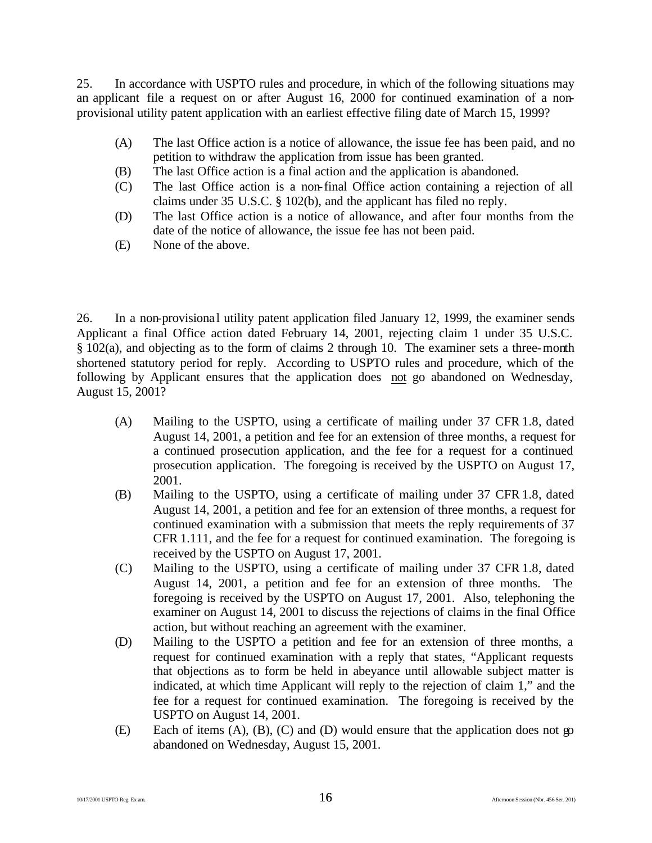25. In accordance with USPTO rules and procedure, in which of the following situations may an applicant file a request on or after August 16, 2000 for continued examination of a nonprovisional utility patent application with an earliest effective filing date of March 15, 1999?

- (A) The last Office action is a notice of allowance, the issue fee has been paid, and no petition to withdraw the application from issue has been granted.
- (B) The last Office action is a final action and the application is abandoned.
- (C) The last Office action is a non-final Office action containing a rejection of all claims under 35 U.S.C. § 102(b), and the applicant has filed no reply.
- (D) The last Office action is a notice of allowance, and after four months from the date of the notice of allowance, the issue fee has not been paid.
- (E) None of the above.

26. In a non-provisional utility patent application filed January 12, 1999, the examiner sends Applicant a final Office action dated February 14, 2001, rejecting claim 1 under 35 U.S.C. § 102(a), and objecting as to the form of claims 2 through 10. The examiner sets a three-month shortened statutory period for reply. According to USPTO rules and procedure, which of the following by Applicant ensures that the application does not go abandoned on Wednesday, August 15, 2001?

- (A) Mailing to the USPTO, using a certificate of mailing under 37 CFR 1.8, dated August 14, 2001, a petition and fee for an extension of three months, a request for a continued prosecution application, and the fee for a request for a continued prosecution application. The foregoing is received by the USPTO on August 17, 2001.
- (B) Mailing to the USPTO, using a certificate of mailing under 37 CFR 1.8, dated August 14, 2001, a petition and fee for an extension of three months, a request for continued examination with a submission that meets the reply requirements of 37 CFR 1.111, and the fee for a request for continued examination. The foregoing is received by the USPTO on August 17, 2001.
- (C) Mailing to the USPTO, using a certificate of mailing under 37 CFR 1.8, dated August 14, 2001, a petition and fee for an extension of three months. The foregoing is received by the USPTO on August 17, 2001. Also, telephoning the examiner on August 14, 2001 to discuss the rejections of claims in the final Office action, but without reaching an agreement with the examiner.
- (D) Mailing to the USPTO a petition and fee for an extension of three months, a request for continued examination with a reply that states, "Applicant requests that objections as to form be held in abeyance until allowable subject matter is indicated, at which time Applicant will reply to the rejection of claim 1," and the fee for a request for continued examination. The foregoing is received by the USPTO on August 14, 2001.
- (E) Each of items (A), (B), (C) and (D) would ensure that the application does not go abandoned on Wednesday, August 15, 2001.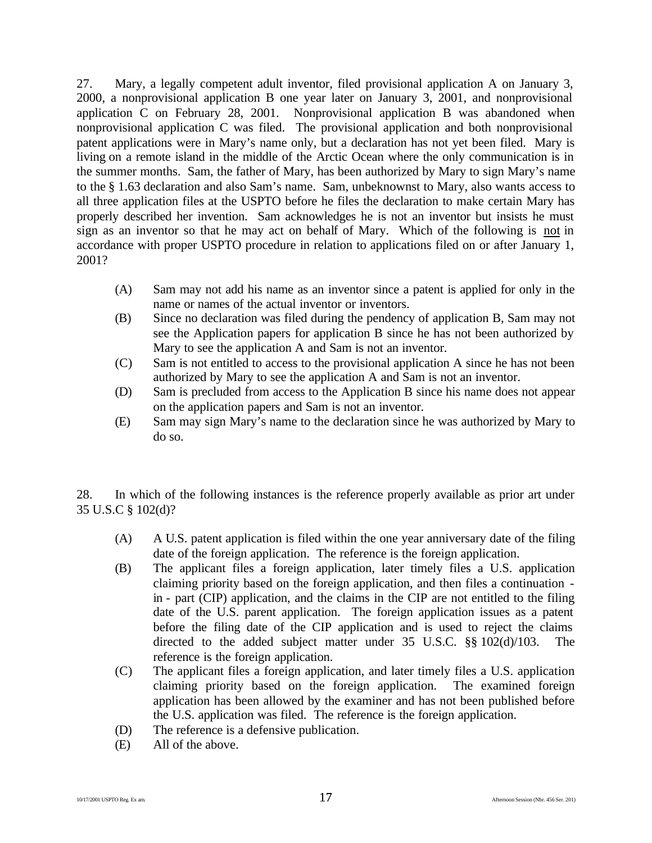27. Mary, a legally competent adult inventor, filed provisional application A on January 3, 2000, a nonprovisional application B one year later on January 3, 2001, and nonprovisional application C on February 28, 2001. Nonprovisional application B was abandoned when nonprovisional application C was filed. The provisional application and both nonprovisional patent applications were in Mary's name only, but a declaration has not yet been filed. Mary is living on a remote island in the middle of the Arctic Ocean where the only communication is in the summer months. Sam, the father of Mary, has been authorized by Mary to sign Mary's name to the § 1.63 declaration and also Sam's name. Sam, unbeknownst to Mary, also wants access to all three application files at the USPTO before he files the declaration to make certain Mary has properly described her invention. Sam acknowledges he is not an inventor but insists he must sign as an inventor so that he may act on behalf of Mary. Which of the following is not in accordance with proper USPTO procedure in relation to applications filed on or after January 1, 2001?

- (A) Sam may not add his name as an inventor since a patent is applied for only in the name or names of the actual inventor or inventors.
- (B) Since no declaration was filed during the pendency of application B, Sam may not see the Application papers for application B since he has not been authorized by Mary to see the application A and Sam is not an inventor.
- (C) Sam is not entitled to access to the provisional application A since he has not been authorized by Mary to see the application A and Sam is not an inventor.
- (D) Sam is precluded from access to the Application B since his name does not appear on the application papers and Sam is not an inventor.
- (E) Sam may sign Mary's name to the declaration since he was authorized by Mary to do so.

28. In which of the following instances is the reference properly available as prior art under 35 U.S.C § 102(d)?

- (A) A U.S. patent application is filed within the one year anniversary date of the filing date of the foreign application. The reference is the foreign application.
- (B) The applicant files a foreign application, later timely files a U.S. application claiming priority based on the foreign application, and then files a continuation in - part (CIP) application, and the claims in the CIP are not entitled to the filing date of the U.S. parent application. The foreign application issues as a patent before the filing date of the CIP application and is used to reject the claims directed to the added subject matter under 35 U.S.C. §§ 102(d)/103. The reference is the foreign application.
- (C) The applicant files a foreign application, and later timely files a U.S. application claiming priority based on the foreign application. The examined foreign application has been allowed by the examiner and has not been published before the U.S. application was filed. The reference is the foreign application.
- (D) The reference is a defensive publication.
- (E) All of the above.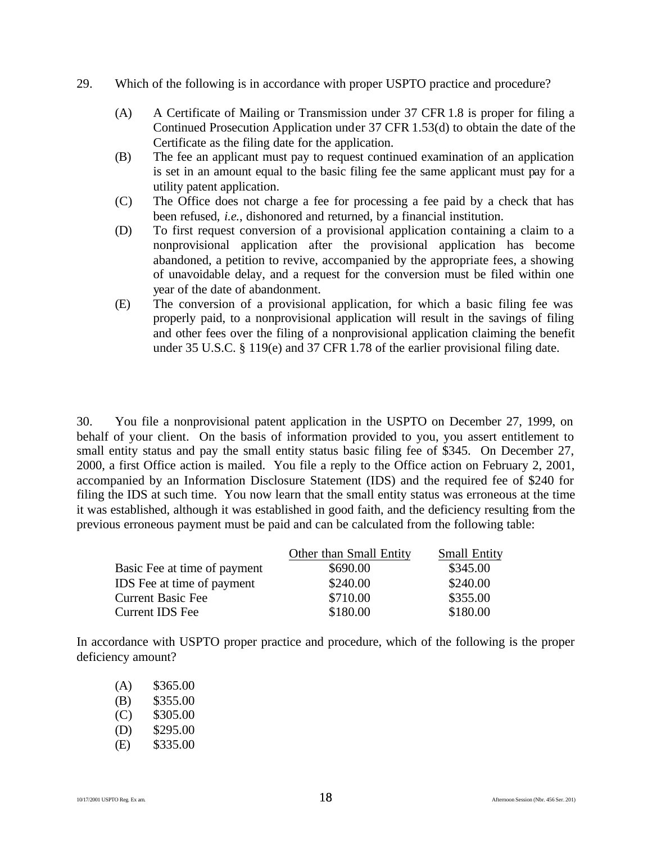- 29. Which of the following is in accordance with proper USPTO practice and procedure?
	- (A) A Certificate of Mailing or Transmission under 37 CFR 1.8 is proper for filing a Continued Prosecution Application under 37 CFR 1.53(d) to obtain the date of the Certificate as the filing date for the application.
	- (B) The fee an applicant must pay to request continued examination of an application is set in an amount equal to the basic filing fee the same applicant must pay for a utility patent application.
	- (C) The Office does not charge a fee for processing a fee paid by a check that has been refused, *i.e.*, dishonored and returned, by a financial institution.
	- (D) To first request conversion of a provisional application containing a claim to a nonprovisional application after the provisional application has become abandoned, a petition to revive, accompanied by the appropriate fees, a showing of unavoidable delay, and a request for the conversion must be filed within one year of the date of abandonment.
	- (E) The conversion of a provisional application, for which a basic filing fee was properly paid, to a nonprovisional application will result in the savings of filing and other fees over the filing of a nonprovisional application claiming the benefit under 35 U.S.C. § 119(e) and 37 CFR 1.78 of the earlier provisional filing date.

30. You file a nonprovisional patent application in the USPTO on December 27, 1999, on behalf of your client. On the basis of information provided to you, you assert entitlement to small entity status and pay the small entity status basic filing fee of \$345. On December 27, 2000, a first Office action is mailed. You file a reply to the Office action on February 2, 2001, accompanied by an Information Disclosure Statement (IDS) and the required fee of \$240 for filing the IDS at such time. You now learn that the small entity status was erroneous at the time it was established, although it was established in good faith, and the deficiency resulting from the previous erroneous payment must be paid and can be calculated from the following table:

|                              | Other than Small Entity | <b>Small Entity</b> |
|------------------------------|-------------------------|---------------------|
| Basic Fee at time of payment | \$690.00                | \$345.00            |
| IDS Fee at time of payment   | \$240.00                | \$240.00            |
| <b>Current Basic Fee</b>     | \$710.00                | \$355.00            |
| <b>Current IDS Fee</b>       | \$180.00                | \$180.00            |

In accordance with USPTO proper practice and procedure, which of the following is the proper deficiency amount?

| (A) | \$365.00 |
|-----|----------|
| (B) | \$355.00 |
| (C) | \$305.00 |
| (D) | \$295.00 |
| (E) | \$335.00 |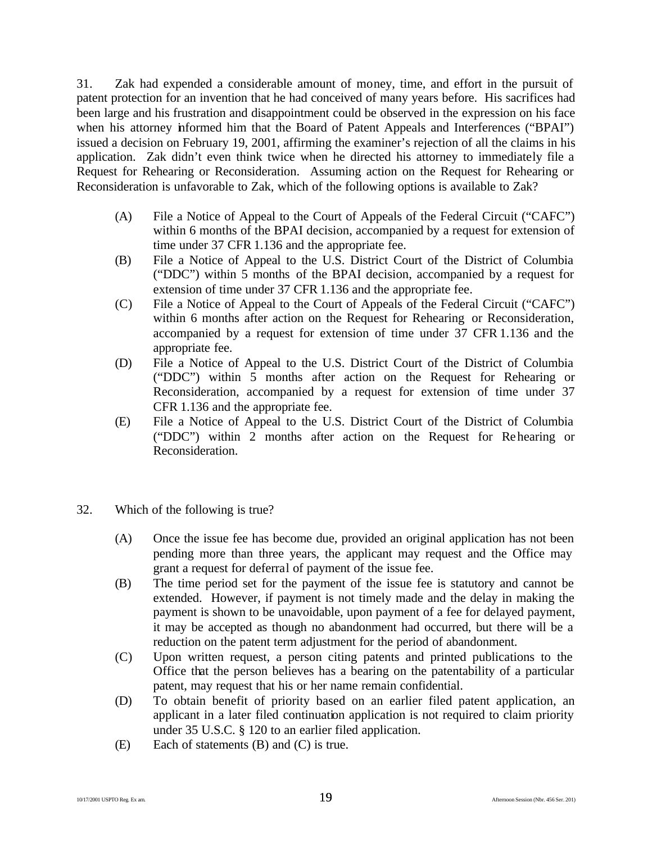31. Zak had expended a considerable amount of money, time, and effort in the pursuit of patent protection for an invention that he had conceived of many years before. His sacrifices had been large and his frustration and disappointment could be observed in the expression on his face when his attorney informed him that the Board of Patent Appeals and Interferences ("BPAI") issued a decision on February 19, 2001, affirming the examiner's rejection of all the claims in his application. Zak didn't even think twice when he directed his attorney to immediately file a Request for Rehearing or Reconsideration. Assuming action on the Request for Rehearing or Reconsideration is unfavorable to Zak, which of the following options is available to Zak?

- (A) File a Notice of Appeal to the Court of Appeals of the Federal Circuit ("CAFC") within 6 months of the BPAI decision, accompanied by a request for extension of time under 37 CFR 1.136 and the appropriate fee.
- (B) File a Notice of Appeal to the U.S. District Court of the District of Columbia ("DDC") within 5 months of the BPAI decision, accompanied by a request for extension of time under 37 CFR 1.136 and the appropriate fee.
- (C) File a Notice of Appeal to the Court of Appeals of the Federal Circuit ("CAFC") within 6 months after action on the Request for Rehearing or Reconsideration, accompanied by a request for extension of time under 37 CFR 1.136 and the appropriate fee.
- (D) File a Notice of Appeal to the U.S. District Court of the District of Columbia ("DDC") within 5 months after action on the Request for Rehearing or Reconsideration, accompanied by a request for extension of time under 37 CFR 1.136 and the appropriate fee.
- (E) File a Notice of Appeal to the U.S. District Court of the District of Columbia ("DDC") within 2 months after action on the Request for Rehearing or Reconsideration.
- 32. Which of the following is true?
	- (A) Once the issue fee has become due, provided an original application has not been pending more than three years, the applicant may request and the Office may grant a request for deferral of payment of the issue fee.
	- (B) The time period set for the payment of the issue fee is statutory and cannot be extended. However, if payment is not timely made and the delay in making the payment is shown to be unavoidable, upon payment of a fee for delayed payment, it may be accepted as though no abandonment had occurred, but there will be a reduction on the patent term adjustment for the period of abandonment.
	- (C) Upon written request, a person citing patents and printed publications to the Office that the person believes has a bearing on the patentability of a particular patent, may request that his or her name remain confidential.
	- (D) To obtain benefit of priority based on an earlier filed patent application, an applicant in a later filed continuation application is not required to claim priority under 35 U.S.C. § 120 to an earlier filed application.
	- (E) Each of statements (B) and (C) is true.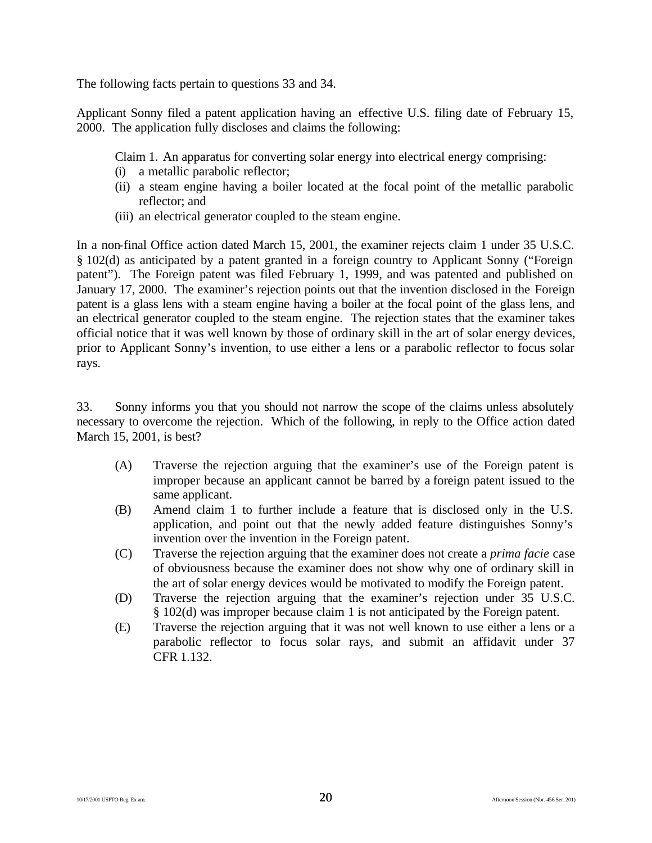The following facts pertain to questions 33 and 34.

Applicant Sonny filed a patent application having an effective U.S. filing date of February 15, 2000. The application fully discloses and claims the following:

Claim 1. An apparatus for converting solar energy into electrical energy comprising:

- (i) a metallic parabolic reflector;
- (ii) a steam engine having a boiler located at the focal point of the metallic parabolic reflector; and
- (iii) an electrical generator coupled to the steam engine.

In a non-final Office action dated March 15, 2001, the examiner rejects claim 1 under 35 U.S.C. § 102(d) as anticipated by a patent granted in a foreign country to Applicant Sonny ("Foreign patent"). The Foreign patent was filed February 1, 1999, and was patented and published on January 17, 2000. The examiner's rejection points out that the invention disclosed in the Foreign patent is a glass lens with a steam engine having a boiler at the focal point of the glass lens, and an electrical generator coupled to the steam engine. The rejection states that the examiner takes official notice that it was well known by those of ordinary skill in the art of solar energy devices, prior to Applicant Sonny's invention, to use either a lens or a parabolic reflector to focus solar rays.

33. Sonny informs you that you should not narrow the scope of the claims unless absolutely necessary to overcome the rejection. Which of the following, in reply to the Office action dated March 15, 2001, is best?

- (A) Traverse the rejection arguing that the examiner's use of the Foreign patent is improper because an applicant cannot be barred by a foreign patent issued to the same applicant.
- (B) Amend claim 1 to further include a feature that is disclosed only in the U.S. application, and point out that the newly added feature distinguishes Sonny's invention over the invention in the Foreign patent.
- (C) Traverse the rejection arguing that the examiner does not create a *prima facie* case of obviousness because the examiner does not show why one of ordinary skill in the art of solar energy devices would be motivated to modify the Foreign patent.
- (D) Traverse the rejection arguing that the examiner's rejection under 35 U.S.C. § 102(d) was improper because claim 1 is not anticipated by the Foreign patent.
- (E) Traverse the rejection arguing that it was not well known to use either a lens or a parabolic reflector to focus solar rays, and submit an affidavit under 37 CFR 1.132.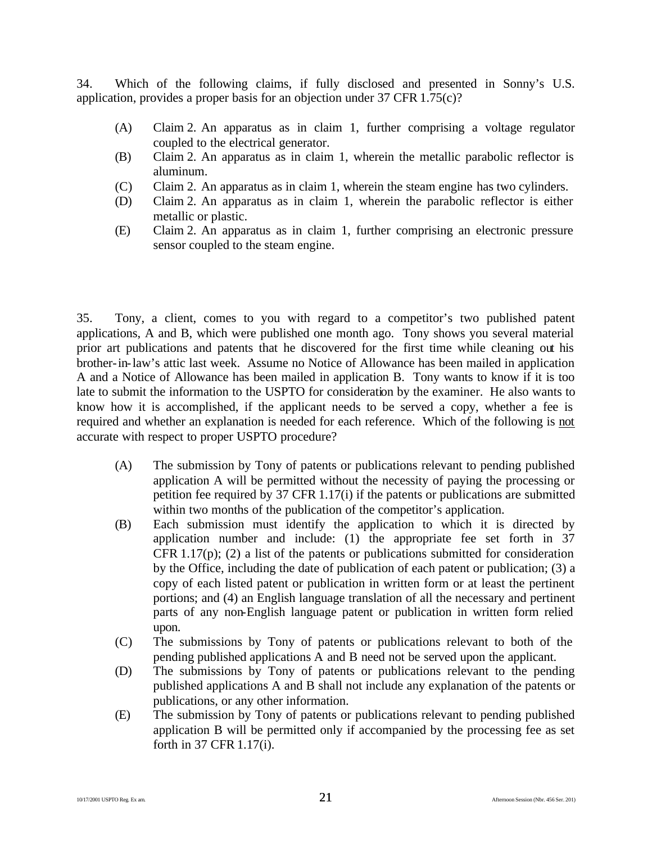34. Which of the following claims, if fully disclosed and presented in Sonny's U.S. application, provides a proper basis for an objection under 37 CFR 1.75(c)?

- (A) Claim 2. An apparatus as in claim 1, further comprising a voltage regulator coupled to the electrical generator.
- (B) Claim 2. An apparatus as in claim 1, wherein the metallic parabolic reflector is aluminum.
- (C) Claim 2. An apparatus as in claim 1, wherein the steam engine has two cylinders.
- (D) Claim 2. An apparatus as in claim 1, wherein the parabolic reflector is either metallic or plastic.
- (E) Claim 2. An apparatus as in claim 1, further comprising an electronic pressure sensor coupled to the steam engine.

35. Tony, a client, comes to you with regard to a competitor's two published patent applications, A and B, which were published one month ago. Tony shows you several material prior art publications and patents that he discovered for the first time while cleaning out his brother-in-law's attic last week. Assume no Notice of Allowance has been mailed in application A and a Notice of Allowance has been mailed in application B. Tony wants to know if it is too late to submit the information to the USPTO for consideration by the examiner. He also wants to know how it is accomplished, if the applicant needs to be served a copy, whether a fee is required and whether an explanation is needed for each reference. Which of the following is not accurate with respect to proper USPTO procedure?

- (A) The submission by Tony of patents or publications relevant to pending published application A will be permitted without the necessity of paying the processing or petition fee required by 37 CFR 1.17(i) if the patents or publications are submitted within two months of the publication of the competitor's application.
- (B) Each submission must identify the application to which it is directed by application number and include: (1) the appropriate fee set forth in 37 CFR 1.17(p); (2) a list of the patents or publications submitted for consideration by the Office, including the date of publication of each patent or publication; (3) a copy of each listed patent or publication in written form or at least the pertinent portions; and (4) an English language translation of all the necessary and pertinent parts of any non-English language patent or publication in written form relied upon.
- (C) The submissions by Tony of patents or publications relevant to both of the pending published applications A and B need not be served upon the applicant.
- (D) The submissions by Tony of patents or publications relevant to the pending published applications A and B shall not include any explanation of the patents or publications, or any other information.
- (E) The submission by Tony of patents or publications relevant to pending published application B will be permitted only if accompanied by the processing fee as set forth in 37 CFR 1.17(i).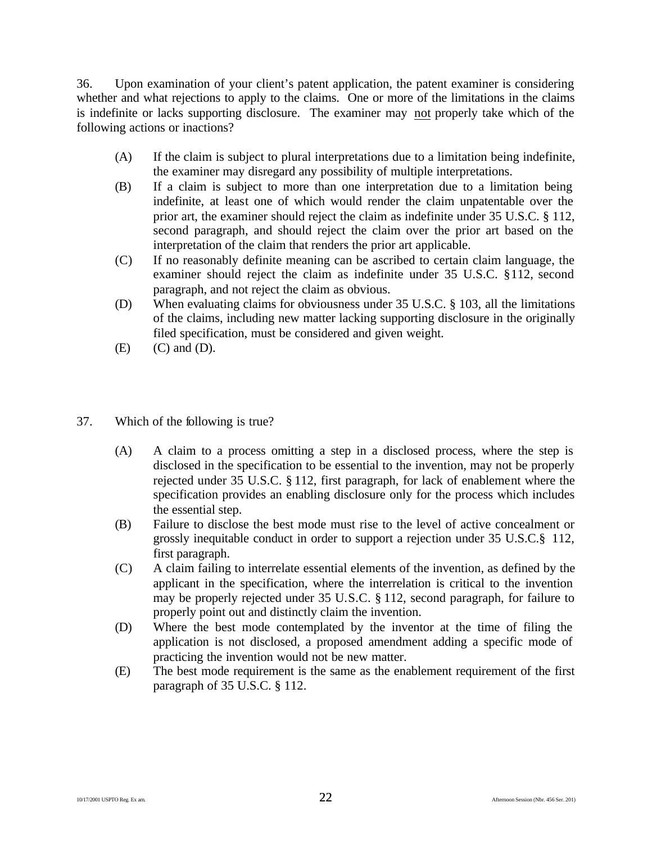36. Upon examination of your client's patent application, the patent examiner is considering whether and what rejections to apply to the claims. One or more of the limitations in the claims is indefinite or lacks supporting disclosure. The examiner may not properly take which of the following actions or inactions?

- (A) If the claim is subject to plural interpretations due to a limitation being indefinite, the examiner may disregard any possibility of multiple interpretations.
- (B) If a claim is subject to more than one interpretation due to a limitation being indefinite, at least one of which would render the claim unpatentable over the prior art, the examiner should reject the claim as indefinite under 35 U.S.C. § 112, second paragraph, and should reject the claim over the prior art based on the interpretation of the claim that renders the prior art applicable.
- (C) If no reasonably definite meaning can be ascribed to certain claim language, the examiner should reject the claim as indefinite under 35 U.S.C. §112, second paragraph, and not reject the claim as obvious.
- (D) When evaluating claims for obviousness under 35 U.S.C. § 103, all the limitations of the claims, including new matter lacking supporting disclosure in the originally filed specification, must be considered and given weight.
- $(E)$   $(C)$  and  $(D)$ .
- 37. Which of the following is true?
	- (A) A claim to a process omitting a step in a disclosed process, where the step is disclosed in the specification to be essential to the invention, may not be properly rejected under 35 U.S.C. § 112, first paragraph, for lack of enablement where the specification provides an enabling disclosure only for the process which includes the essential step.
	- (B) Failure to disclose the best mode must rise to the level of active concealment or grossly inequitable conduct in order to support a rejection under 35 U.S.C.§ 112, first paragraph.
	- (C) A claim failing to interrelate essential elements of the invention, as defined by the applicant in the specification, where the interrelation is critical to the invention may be properly rejected under 35 U.S.C. § 112, second paragraph, for failure to properly point out and distinctly claim the invention.
	- (D) Where the best mode contemplated by the inventor at the time of filing the application is not disclosed, a proposed amendment adding a specific mode of practicing the invention would not be new matter.
	- (E) The best mode requirement is the same as the enablement requirement of the first paragraph of 35 U.S.C. § 112.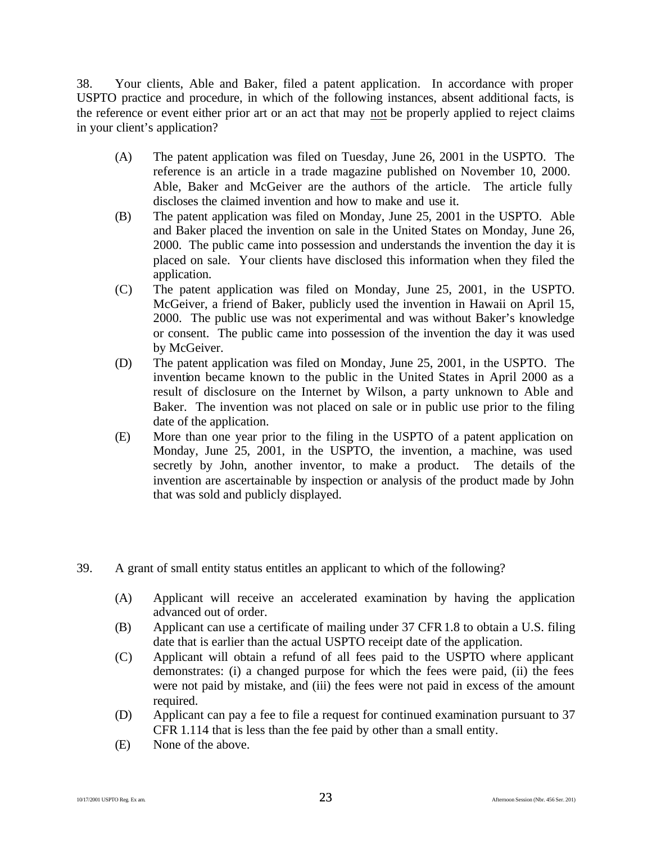38. Your clients, Able and Baker, filed a patent application. In accordance with proper USPTO practice and procedure, in which of the following instances, absent additional facts, is the reference or event either prior art or an act that may not be properly applied to reject claims in your client's application?

- (A) The patent application was filed on Tuesday, June 26, 2001 in the USPTO. The reference is an article in a trade magazine published on November 10, 2000. Able, Baker and McGeiver are the authors of the article. The article fully discloses the claimed invention and how to make and use it.
- (B) The patent application was filed on Monday, June 25, 2001 in the USPTO. Able and Baker placed the invention on sale in the United States on Monday, June 26, 2000. The public came into possession and understands the invention the day it is placed on sale. Your clients have disclosed this information when they filed the application.
- (C) The patent application was filed on Monday, June 25, 2001, in the USPTO. McGeiver, a friend of Baker, publicly used the invention in Hawaii on April 15, 2000. The public use was not experimental and was without Baker's knowledge or consent. The public came into possession of the invention the day it was used by McGeiver.
- (D) The patent application was filed on Monday, June 25, 2001, in the USPTO. The invention became known to the public in the United States in April 2000 as a result of disclosure on the Internet by Wilson, a party unknown to Able and Baker. The invention was not placed on sale or in public use prior to the filing date of the application.
- (E) More than one year prior to the filing in the USPTO of a patent application on Monday, June 25, 2001, in the USPTO, the invention, a machine, was used secretly by John, another inventor, to make a product. The details of the invention are ascertainable by inspection or analysis of the product made by John that was sold and publicly displayed.
- 39. A grant of small entity status entitles an applicant to which of the following?
	- (A) Applicant will receive an accelerated examination by having the application advanced out of order.
	- (B) Applicant can use a certificate of mailing under 37 CFR1.8 to obtain a U.S. filing date that is earlier than the actual USPTO receipt date of the application.
	- (C) Applicant will obtain a refund of all fees paid to the USPTO where applicant demonstrates: (i) a changed purpose for which the fees were paid, (ii) the fees were not paid by mistake, and (iii) the fees were not paid in excess of the amount required.
	- (D) Applicant can pay a fee to file a request for continued examination pursuant to 37 CFR 1.114 that is less than the fee paid by other than a small entity.
	- (E) None of the above.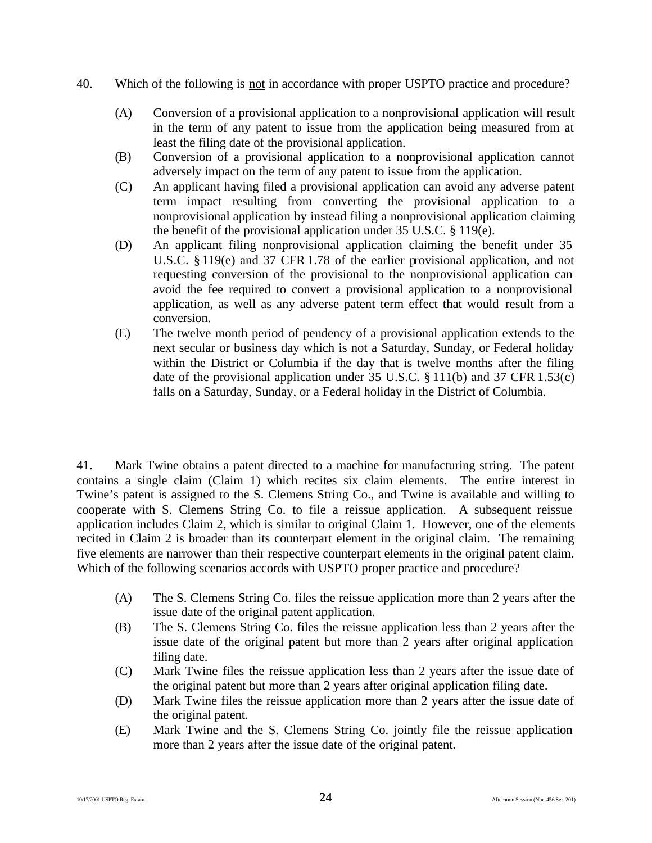- 40. Which of the following is not in accordance with proper USPTO practice and procedure?
	- (A) Conversion of a provisional application to a nonprovisional application will result in the term of any patent to issue from the application being measured from at least the filing date of the provisional application.
	- (B) Conversion of a provisional application to a nonprovisional application cannot adversely impact on the term of any patent to issue from the application.
	- (C) An applicant having filed a provisional application can avoid any adverse patent term impact resulting from converting the provisional application to a nonprovisional application by instead filing a nonprovisional application claiming the benefit of the provisional application under 35 U.S.C. § 119(e).
	- (D) An applicant filing nonprovisional application claiming the benefit under 35 U.S.C. § 119(e) and 37 CFR 1.78 of the earlier provisional application, and not requesting conversion of the provisional to the nonprovisional application can avoid the fee required to convert a provisional application to a nonprovisional application, as well as any adverse patent term effect that would result from a conversion.
	- (E) The twelve month period of pendency of a provisional application extends to the next secular or business day which is not a Saturday, Sunday, or Federal holiday within the District or Columbia if the day that is twelve months after the filing date of the provisional application under 35 U.S.C. § 111(b) and 37 CFR 1.53(c) falls on a Saturday, Sunday, or a Federal holiday in the District of Columbia.

41. Mark Twine obtains a patent directed to a machine for manufacturing string. The patent contains a single claim (Claim 1) which recites six claim elements. The entire interest in Twine's patent is assigned to the S. Clemens String Co., and Twine is available and willing to cooperate with S. Clemens String Co. to file a reissue application. A subsequent reissue application includes Claim 2, which is similar to original Claim 1. However, one of the elements recited in Claim 2 is broader than its counterpart element in the original claim. The remaining five elements are narrower than their respective counterpart elements in the original patent claim. Which of the following scenarios accords with USPTO proper practice and procedure?

- (A) The S. Clemens String Co. files the reissue application more than 2 years after the issue date of the original patent application.
- (B) The S. Clemens String Co. files the reissue application less than 2 years after the issue date of the original patent but more than 2 years after original application filing date.
- (C) Mark Twine files the reissue application less than 2 years after the issue date of the original patent but more than 2 years after original application filing date.
- (D) Mark Twine files the reissue application more than 2 years after the issue date of the original patent.
- (E) Mark Twine and the S. Clemens String Co. jointly file the reissue application more than 2 years after the issue date of the original patent.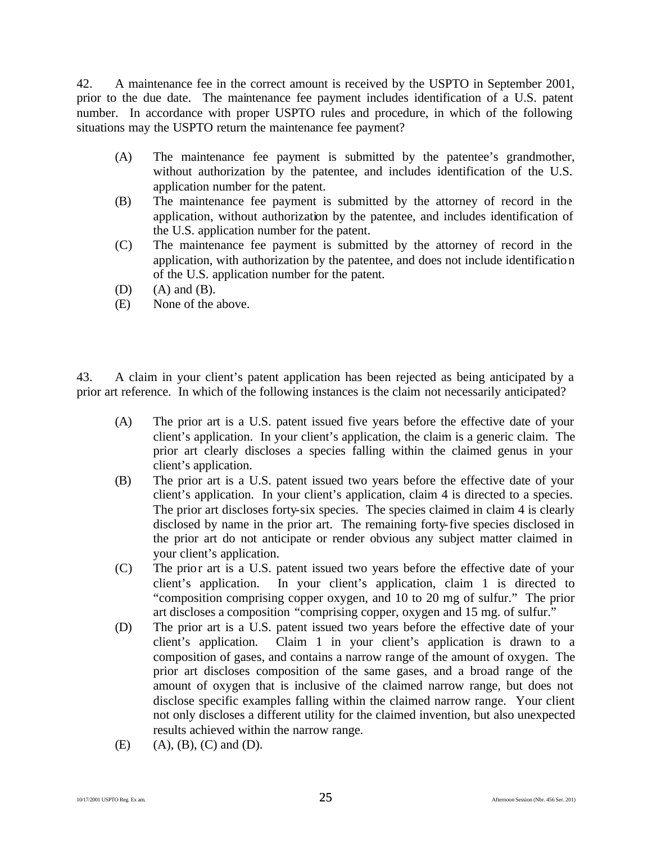42. A maintenance fee in the correct amount is received by the USPTO in September 2001, prior to the due date. The maintenance fee payment includes identification of a U.S. patent number. In accordance with proper USPTO rules and procedure, in which of the following situations may the USPTO return the maintenance fee payment?

- (A) The maintenance fee payment is submitted by the patentee's grandmother, without authorization by the patentee, and includes identification of the U.S. application number for the patent.
- (B) The maintenance fee payment is submitted by the attorney of record in the application, without authorization by the patentee, and includes identification of the U.S. application number for the patent.
- (C) The maintenance fee payment is submitted by the attorney of record in the application, with authorization by the patentee, and does not include identification of the U.S. application number for the patent.
- (D) (A) and (B).
- (E) None of the above.

43. A claim in your client's patent application has been rejected as being anticipated by a prior art reference. In which of the following instances is the claim not necessarily anticipated?

- (A) The prior art is a U.S. patent issued five years before the effective date of your client's application. In your client's application, the claim is a generic claim. The prior art clearly discloses a species falling within the claimed genus in your client's application.
- (B) The prior art is a U.S. patent issued two years before the effective date of your client's application. In your client's application, claim 4 is directed to a species. The prior art discloses forty-six species. The species claimed in claim 4 is clearly disclosed by name in the prior art. The remaining forty-five species disclosed in the prior art do not anticipate or render obvious any subject matter claimed in your client's application.
- (C) The prior art is a U.S. patent issued two years before the effective date of your client's application. In your client's application, claim 1 is directed to "composition comprising copper oxygen, and 10 to 20 mg of sulfur." The prior art discloses a composition "comprising copper, oxygen and 15 mg. of sulfur."
- (D) The prior art is a U.S. patent issued two years before the effective date of your client's application. Claim 1 in your client's application is drawn to a composition of gases, and contains a narrow range of the amount of oxygen. The prior art discloses composition of the same gases, and a broad range of the amount of oxygen that is inclusive of the claimed narrow range, but does not disclose specific examples falling within the claimed narrow range. Your client not only discloses a different utility for the claimed invention, but also unexpected results achieved within the narrow range.
- $(E)$  (A),  $(B)$ ,  $(C)$  and  $(D)$ .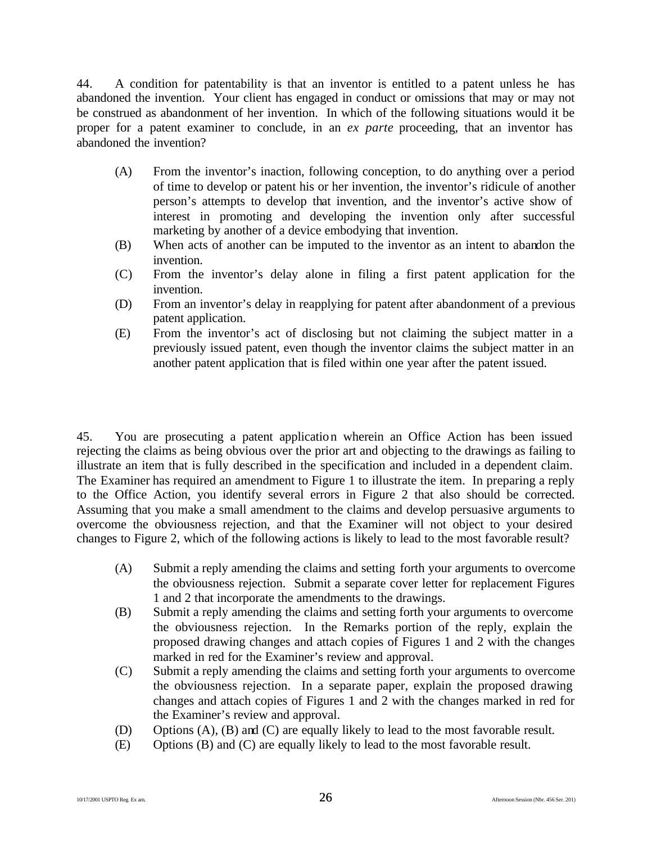44. A condition for patentability is that an inventor is entitled to a patent unless he has abandoned the invention. Your client has engaged in conduct or omissions that may or may not be construed as abandonment of her invention. In which of the following situations would it be proper for a patent examiner to conclude, in an *ex parte* proceeding, that an inventor has abandoned the invention?

- (A) From the inventor's inaction, following conception, to do anything over a period of time to develop or patent his or her invention, the inventor's ridicule of another person's attempts to develop that invention, and the inventor's active show of interest in promoting and developing the invention only after successful marketing by another of a device embodying that invention.
- (B) When acts of another can be imputed to the inventor as an intent to abandon the invention.
- (C) From the inventor's delay alone in filing a first patent application for the invention.
- (D) From an inventor's delay in reapplying for patent after abandonment of a previous patent application.
- (E) From the inventor's act of disclosing but not claiming the subject matter in a previously issued patent, even though the inventor claims the subject matter in an another patent application that is filed within one year after the patent issued.

45. You are prosecuting a patent application wherein an Office Action has been issued rejecting the claims as being obvious over the prior art and objecting to the drawings as failing to illustrate an item that is fully described in the specification and included in a dependent claim. The Examiner has required an amendment to Figure 1 to illustrate the item. In preparing a reply to the Office Action, you identify several errors in Figure 2 that also should be corrected. Assuming that you make a small amendment to the claims and develop persuasive arguments to overcome the obviousness rejection, and that the Examiner will not object to your desired changes to Figure 2, which of the following actions is likely to lead to the most favorable result?

- (A) Submit a reply amending the claims and setting forth your arguments to overcome the obviousness rejection. Submit a separate cover letter for replacement Figures 1 and 2 that incorporate the amendments to the drawings.
- (B) Submit a reply amending the claims and setting forth your arguments to overcome the obviousness rejection. In the Remarks portion of the reply, explain the proposed drawing changes and attach copies of Figures 1 and 2 with the changes marked in red for the Examiner's review and approval.
- (C) Submit a reply amending the claims and setting forth your arguments to overcome the obviousness rejection. In a separate paper, explain the proposed drawing changes and attach copies of Figures 1 and 2 with the changes marked in red for the Examiner's review and approval.
- (D) Options (A), (B) and (C) are equally likely to lead to the most favorable result.
- (E) Options (B) and (C) are equally likely to lead to the most favorable result.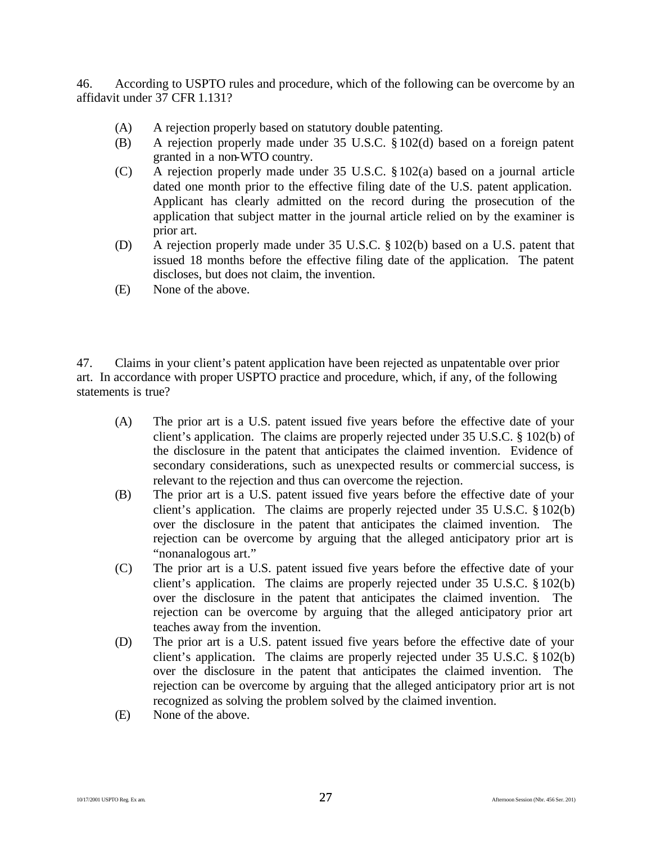46. According to USPTO rules and procedure, which of the following can be overcome by an affidavit under 37 CFR 1.131?

- (A) A rejection properly based on statutory double patenting.
- (B) A rejection properly made under 35 U.S.C. § 102(d) based on a foreign patent granted in a non-WTO country.
- (C) A rejection properly made under 35 U.S.C. § 102(a) based on a journal article dated one month prior to the effective filing date of the U.S. patent application. Applicant has clearly admitted on the record during the prosecution of the application that subject matter in the journal article relied on by the examiner is prior art.
- (D) A rejection properly made under 35 U.S.C. § 102(b) based on a U.S. patent that issued 18 months before the effective filing date of the application. The patent discloses, but does not claim, the invention.
- (E) None of the above.

47. Claims in your client's patent application have been rejected as unpatentable over prior art. In accordance with proper USPTO practice and procedure, which, if any, of the following statements is true?

- (A) The prior art is a U.S. patent issued five years before the effective date of your client's application. The claims are properly rejected under 35 U.S.C. § 102(b) of the disclosure in the patent that anticipates the claimed invention. Evidence of secondary considerations, such as unexpected results or commercial success, is relevant to the rejection and thus can overcome the rejection.
- (B) The prior art is a U.S. patent issued five years before the effective date of your client's application. The claims are properly rejected under 35 U.S.C. §102(b) over the disclosure in the patent that anticipates the claimed invention. The rejection can be overcome by arguing that the alleged anticipatory prior art is "nonanalogous art."
- (C) The prior art is a U.S. patent issued five years before the effective date of your client's application. The claims are properly rejected under 35 U.S.C. §102(b) over the disclosure in the patent that anticipates the claimed invention. The rejection can be overcome by arguing that the alleged anticipatory prior art teaches away from the invention.
- (D) The prior art is a U.S. patent issued five years before the effective date of your client's application. The claims are properly rejected under 35 U.S.C. §102(b) over the disclosure in the patent that anticipates the claimed invention. The rejection can be overcome by arguing that the alleged anticipatory prior art is not recognized as solving the problem solved by the claimed invention.
- (E) None of the above.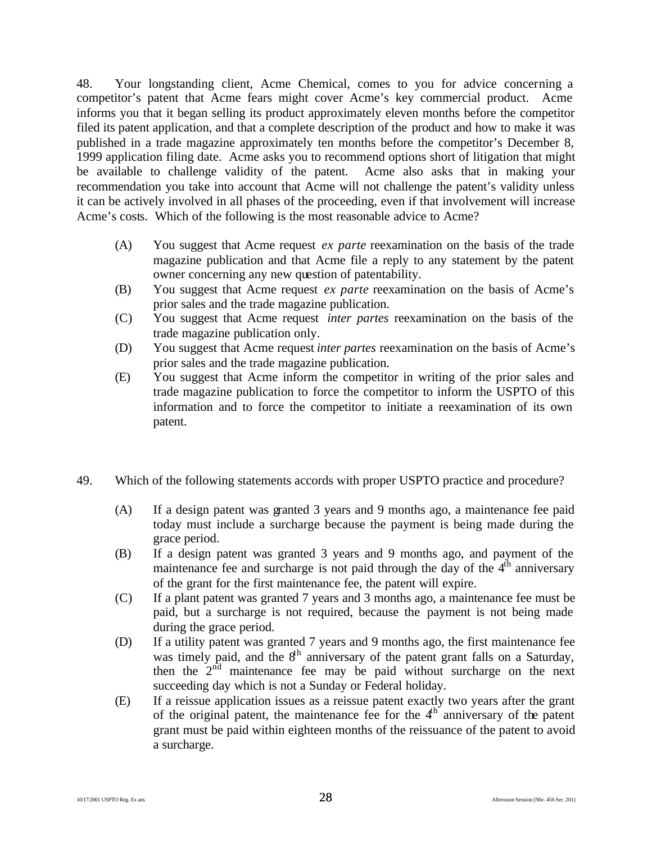48. Your longstanding client, Acme Chemical, comes to you for advice concerning a competitor's patent that Acme fears might cover Acme's key commercial product. Acme informs you that it began selling its product approximately eleven months before the competitor filed its patent application, and that a complete description of the product and how to make it was published in a trade magazine approximately ten months before the competitor's December 8, 1999 application filing date. Acme asks you to recommend options short of litigation that might be available to challenge validity of the patent. Acme also asks that in making your recommendation you take into account that Acme will not challenge the patent's validity unless it can be actively involved in all phases of the proceeding, even if that involvement will increase Acme's costs. Which of the following is the most reasonable advice to Acme?

- (A) You suggest that Acme request *ex parte* reexamination on the basis of the trade magazine publication and that Acme file a reply to any statement by the patent owner concerning any new question of patentability.
- (B) You suggest that Acme request *ex parte* reexamination on the basis of Acme's prior sales and the trade magazine publication.
- (C) You suggest that Acme request *inter partes* reexamination on the basis of the trade magazine publication only.
- (D) You suggest that Acme request *inter partes* reexamination on the basis of Acme's prior sales and the trade magazine publication.
- (E) You suggest that Acme inform the competitor in writing of the prior sales and trade magazine publication to force the competitor to inform the USPTO of this information and to force the competitor to initiate a reexamination of its own patent.
- 49. Which of the following statements accords with proper USPTO practice and procedure?
	- (A) If a design patent was granted 3 years and 9 months ago, a maintenance fee paid today must include a surcharge because the payment is being made during the grace period.
	- (B) If a design patent was granted 3 years and 9 months ago, and payment of the maintenance fee and surcharge is not paid through the day of the  $4<sup>th</sup>$  anniversary of the grant for the first maintenance fee, the patent will expire.
	- (C) If a plant patent was granted 7 years and 3 months ago, a maintenance fee must be paid, but a surcharge is not required, because the payment is not being made during the grace period.
	- (D) If a utility patent was granted 7 years and 9 months ago, the first maintenance fee was timely paid, and the  $8<sup>th</sup>$  anniversary of the patent grant falls on a Saturday, then the  $2<sup>nd</sup>$  maintenance fee may be paid without surcharge on the next succeeding day which is not a Sunday or Federal holiday.
	- (E) If a reissue application issues as a reissue patent exactly two years after the grant of the original patent, the maintenance fee for the  $4<sup>th</sup>$  anniversary of the patent grant must be paid within eighteen months of the reissuance of the patent to avoid a surcharge.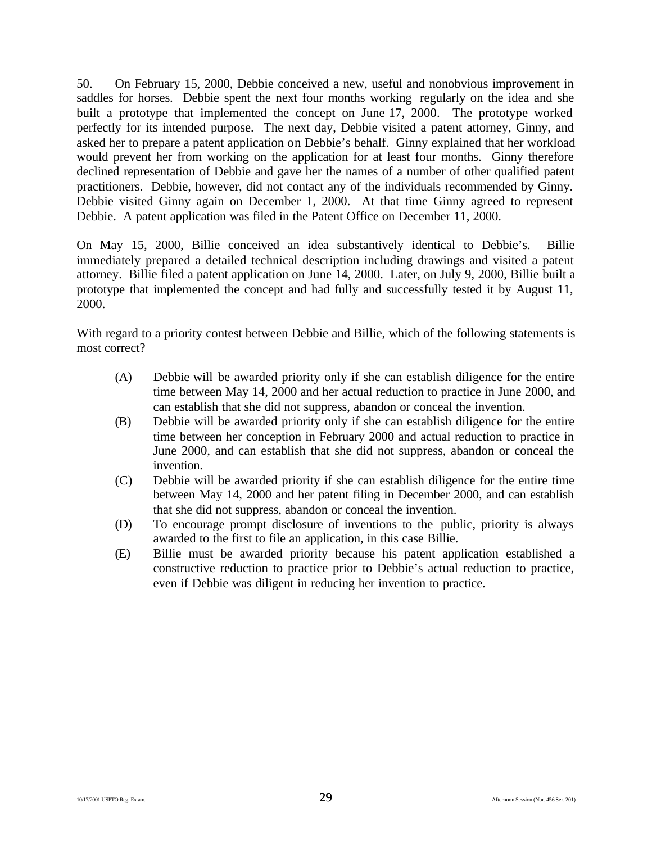50. On February 15, 2000, Debbie conceived a new, useful and nonobvious improvement in saddles for horses. Debbie spent the next four months working regularly on the idea and she built a prototype that implemented the concept on June 17, 2000. The prototype worked perfectly for its intended purpose. The next day, Debbie visited a patent attorney, Ginny, and asked her to prepare a patent application on Debbie's behalf. Ginny explained that her workload would prevent her from working on the application for at least four months. Ginny therefore declined representation of Debbie and gave her the names of a number of other qualified patent practitioners. Debbie, however, did not contact any of the individuals recommended by Ginny. Debbie visited Ginny again on December 1, 2000. At that time Ginny agreed to represent Debbie. A patent application was filed in the Patent Office on December 11, 2000.

On May 15, 2000, Billie conceived an idea substantively identical to Debbie's. Billie immediately prepared a detailed technical description including drawings and visited a patent attorney. Billie filed a patent application on June 14, 2000. Later, on July 9, 2000, Billie built a prototype that implemented the concept and had fully and successfully tested it by August 11, 2000.

With regard to a priority contest between Debbie and Billie, which of the following statements is most correct?

- (A) Debbie will be awarded priority only if she can establish diligence for the entire time between May 14, 2000 and her actual reduction to practice in June 2000, and can establish that she did not suppress, abandon or conceal the invention.
- (B) Debbie will be awarded priority only if she can establish diligence for the entire time between her conception in February 2000 and actual reduction to practice in June 2000, and can establish that she did not suppress, abandon or conceal the invention.
- (C) Debbie will be awarded priority if she can establish diligence for the entire time between May 14, 2000 and her patent filing in December 2000, and can establish that she did not suppress, abandon or conceal the invention.
- (D) To encourage prompt disclosure of inventions to the public, priority is always awarded to the first to file an application, in this case Billie.
- (E) Billie must be awarded priority because his patent application established a constructive reduction to practice prior to Debbie's actual reduction to practice, even if Debbie was diligent in reducing her invention to practice.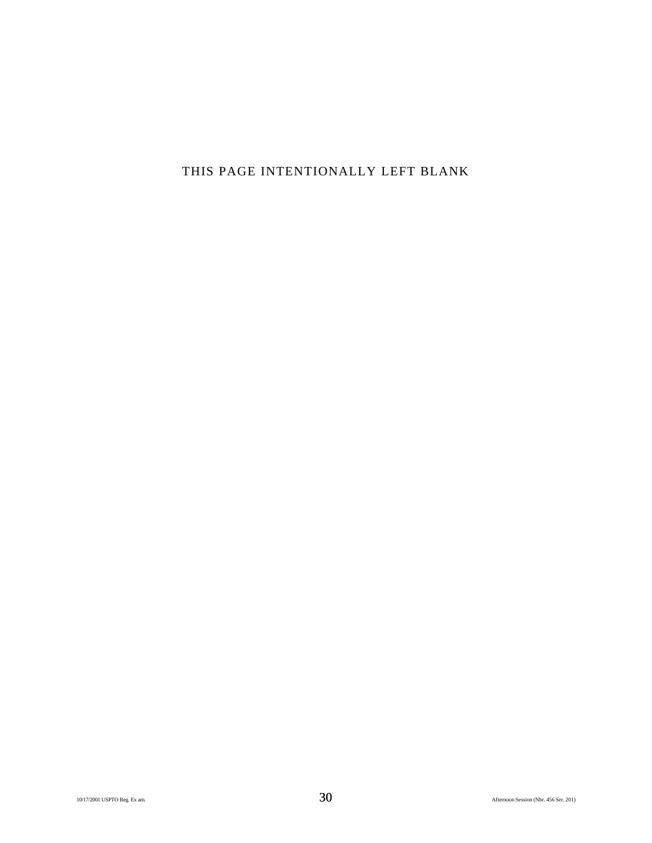THIS PAGE INTENTIONALLY LEFT BLANK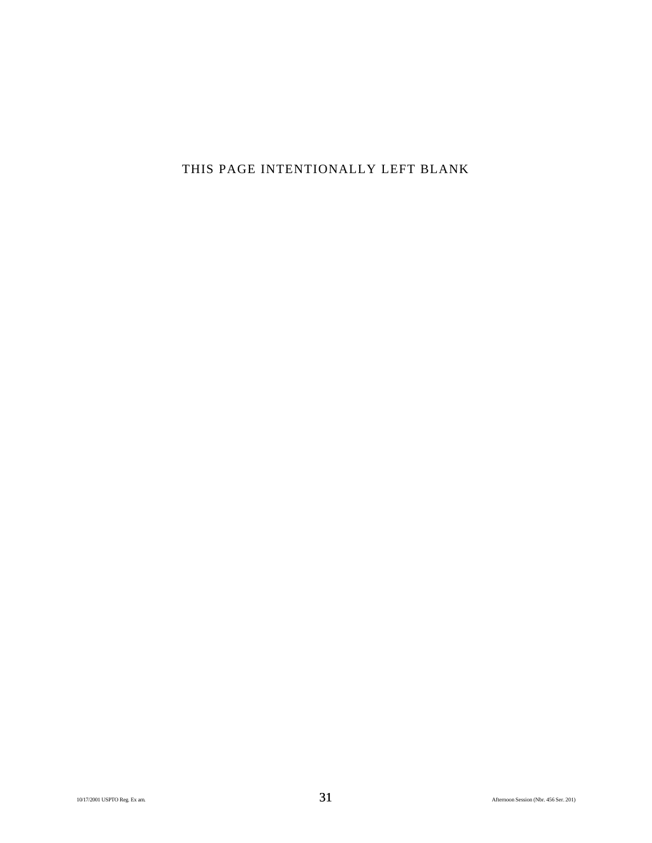THIS PAGE INTENTIONALLY LEFT BLANK